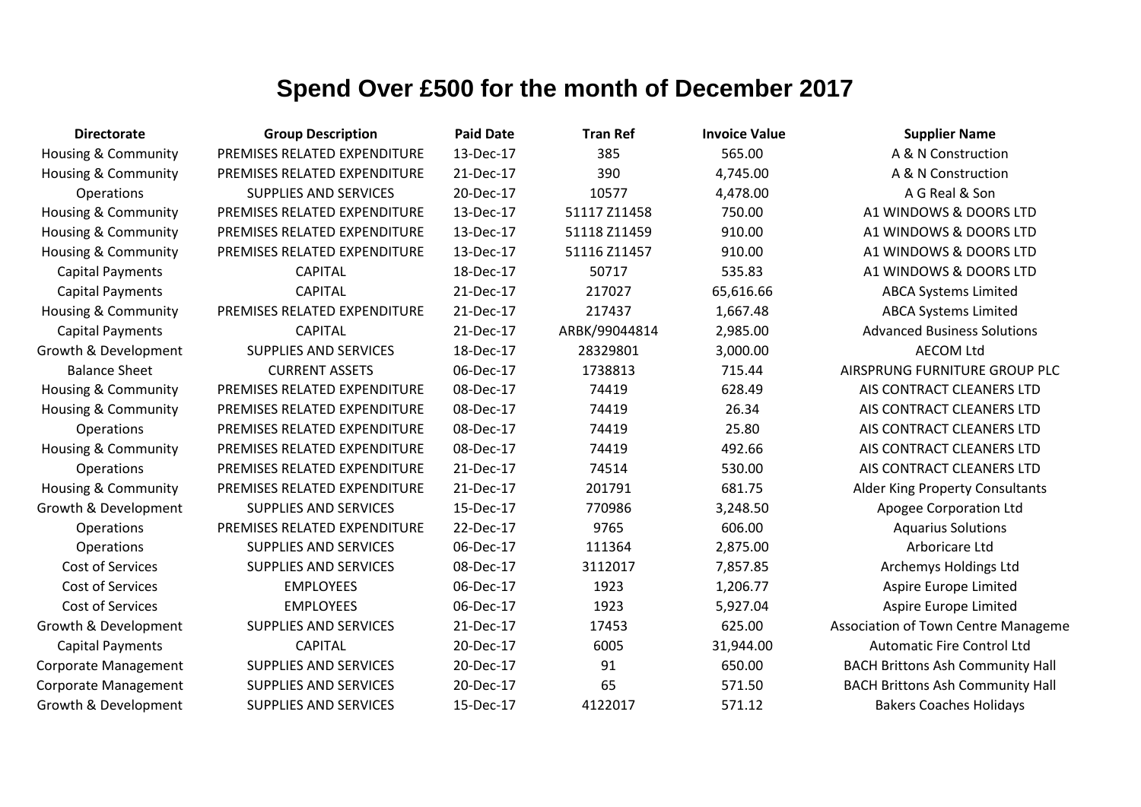| <b>Directorate</b>             | <b>Group Description</b>     | <b>Paid Date</b> | <b>Tran Ref</b> | <b>Invoice Value</b> | <b>Supplier Name</b>                    |
|--------------------------------|------------------------------|------------------|-----------------|----------------------|-----------------------------------------|
| Housing & Community            | PREMISES RELATED EXPENDITURE | 13-Dec-17        | 385             | 565.00               | A & N Construction                      |
| Housing & Community            | PREMISES RELATED EXPENDITURE | 21-Dec-17        | 390             | 4,745.00             | A & N Construction                      |
| <b>Operations</b>              | <b>SUPPLIES AND SERVICES</b> | 20-Dec-17        | 10577           | 4,478.00             | A G Real & Son                          |
| Housing & Community            | PREMISES RELATED EXPENDITURE | 13-Dec-17        | 51117 Z11458    | 750.00               | A1 WINDOWS & DOORS LTD                  |
| Housing & Community            | PREMISES RELATED EXPENDITURE | 13-Dec-17        | 51118 Z11459    | 910.00               | A1 WINDOWS & DOORS LTD                  |
| Housing & Community            | PREMISES RELATED EXPENDITURE | 13-Dec-17        | 51116 Z11457    | 910.00               | A1 WINDOWS & DOORS LTD                  |
| <b>Capital Payments</b>        | <b>CAPITAL</b>               | 18-Dec-17        | 50717           | 535.83               | A1 WINDOWS & DOORS LTD                  |
| <b>Capital Payments</b>        | <b>CAPITAL</b>               | 21-Dec-17        | 217027          | 65,616.66            | <b>ABCA Systems Limited</b>             |
| Housing & Community            | PREMISES RELATED EXPENDITURE | 21-Dec-17        | 217437          | 1,667.48             | <b>ABCA Systems Limited</b>             |
| <b>Capital Payments</b>        | <b>CAPITAL</b>               | 21-Dec-17        | ARBK/99044814   | 2,985.00             | <b>Advanced Business Solutions</b>      |
| Growth & Development           | <b>SUPPLIES AND SERVICES</b> | 18-Dec-17        | 28329801        | 3,000.00             | <b>AECOM Ltd</b>                        |
| <b>Balance Sheet</b>           | <b>CURRENT ASSETS</b>        | 06-Dec-17        | 1738813         | 715.44               | AIRSPRUNG FURNITURE GROUP PLC           |
| <b>Housing &amp; Community</b> | PREMISES RELATED EXPENDITURE | 08-Dec-17        | 74419           | 628.49               | AIS CONTRACT CLEANERS LTD               |
| Housing & Community            | PREMISES RELATED EXPENDITURE | 08-Dec-17        | 74419           | 26.34                | AIS CONTRACT CLEANERS LTD               |
| Operations                     | PREMISES RELATED EXPENDITURE | 08-Dec-17        | 74419           | 25.80                | AIS CONTRACT CLEANERS LTD               |
| Housing & Community            | PREMISES RELATED EXPENDITURE | 08-Dec-17        | 74419           | 492.66               | AIS CONTRACT CLEANERS LTD               |
| Operations                     | PREMISES RELATED EXPENDITURE | 21-Dec-17        | 74514           | 530.00               | AIS CONTRACT CLEANERS LTD               |
| <b>Housing &amp; Community</b> | PREMISES RELATED EXPENDITURE | 21-Dec-17        | 201791          | 681.75               | Alder King Property Consultants         |
| Growth & Development           | <b>SUPPLIES AND SERVICES</b> | 15-Dec-17        | 770986          | 3,248.50             | Apogee Corporation Ltd                  |
| Operations                     | PREMISES RELATED EXPENDITURE | 22-Dec-17        | 9765            | 606.00               | <b>Aquarius Solutions</b>               |
| Operations                     | <b>SUPPLIES AND SERVICES</b> | 06-Dec-17        | 111364          | 2,875.00             | Arboricare Ltd                          |
| <b>Cost of Services</b>        | <b>SUPPLIES AND SERVICES</b> | 08-Dec-17        | 3112017         | 7,857.85             | Archemys Holdings Ltd                   |
| <b>Cost of Services</b>        | <b>EMPLOYEES</b>             | 06-Dec-17        | 1923            | 1,206.77             | Aspire Europe Limited                   |
| <b>Cost of Services</b>        | <b>EMPLOYEES</b>             | 06-Dec-17        | 1923            | 5,927.04             | Aspire Europe Limited                   |
| Growth & Development           | <b>SUPPLIES AND SERVICES</b> | 21-Dec-17        | 17453           | 625.00               | Association of Town Centre Manageme     |
| <b>Capital Payments</b>        | <b>CAPITAL</b>               | 20-Dec-17        | 6005            | 31,944.00            | <b>Automatic Fire Control Ltd</b>       |
| Corporate Management           | <b>SUPPLIES AND SERVICES</b> | 20-Dec-17        | 91              | 650.00               | <b>BACH Brittons Ash Community Hall</b> |
| <b>Corporate Management</b>    | <b>SUPPLIES AND SERVICES</b> | 20-Dec-17        | 65              | 571.50               | <b>BACH Brittons Ash Community Hall</b> |
| Growth & Development           | <b>SUPPLIES AND SERVICES</b> | 15-Dec-17        | 4122017         | 571.12               | <b>Bakers Coaches Holidays</b>          |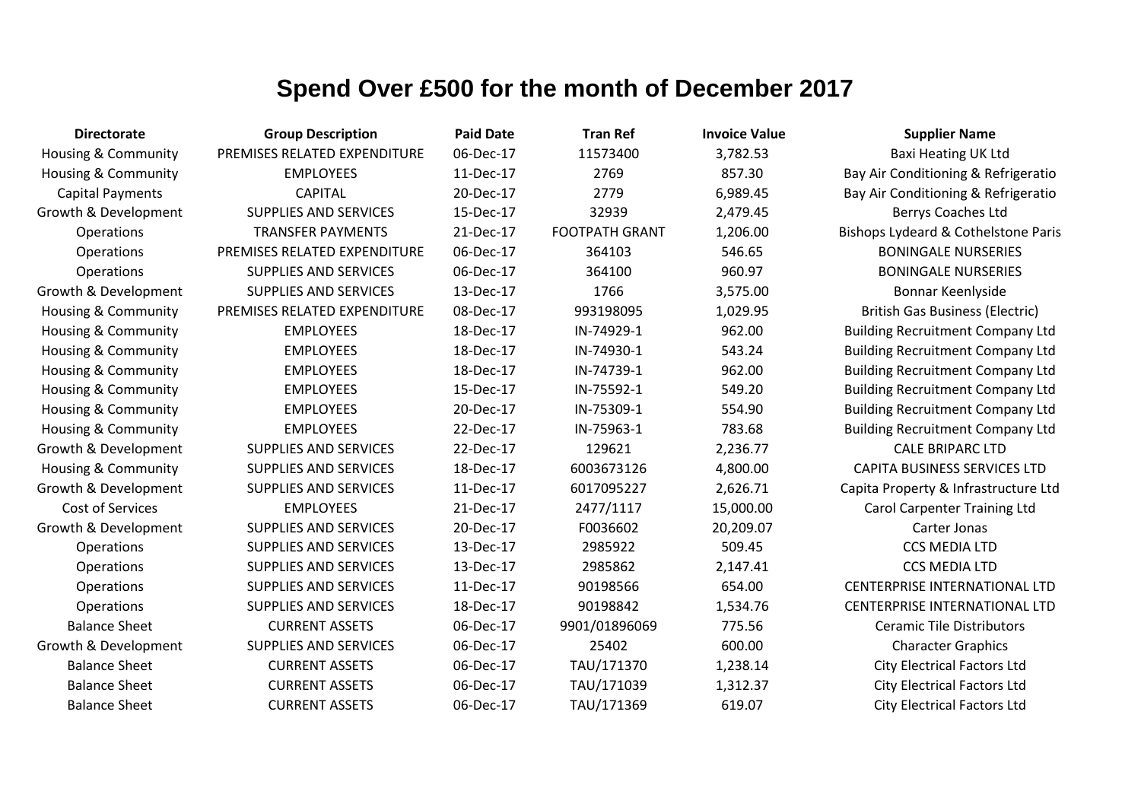| <b>Directorate</b>             | <b>Group Description</b>     | <b>Paid Date</b> | <b>Tran Ref</b>       | <b>Invoice Value</b> | <b>Supplier Name</b>                    |
|--------------------------------|------------------------------|------------------|-----------------------|----------------------|-----------------------------------------|
| Housing & Community            | PREMISES RELATED EXPENDITURE | 06-Dec-17        | 11573400              | 3,782.53             | Baxi Heating UK Ltd                     |
| <b>Housing &amp; Community</b> | <b>EMPLOYEES</b>             | 11-Dec-17        | 2769                  | 857.30               | Bay Air Conditioning & Refrigeratio     |
| <b>Capital Payments</b>        | <b>CAPITAL</b>               | 20-Dec-17        | 2779                  | 6,989.45             | Bay Air Conditioning & Refrigeratio     |
| Growth & Development           | <b>SUPPLIES AND SERVICES</b> | 15-Dec-17        | 32939                 | 2,479.45             | Berrys Coaches Ltd                      |
| Operations                     | <b>TRANSFER PAYMENTS</b>     | 21-Dec-17        | <b>FOOTPATH GRANT</b> | 1,206.00             | Bishops Lydeard & Cothelstone Paris     |
| Operations                     | PREMISES RELATED EXPENDITURE | 06-Dec-17        | 364103                | 546.65               | <b>BONINGALE NURSERIES</b>              |
| Operations                     | <b>SUPPLIES AND SERVICES</b> | 06-Dec-17        | 364100                | 960.97               | <b>BONINGALE NURSERIES</b>              |
| Growth & Development           | <b>SUPPLIES AND SERVICES</b> | 13-Dec-17        | 1766                  | 3,575.00             | Bonnar Keenlyside                       |
| <b>Housing &amp; Community</b> | PREMISES RELATED EXPENDITURE | 08-Dec-17        | 993198095             | 1,029.95             | <b>British Gas Business (Electric)</b>  |
| <b>Housing &amp; Community</b> | <b>EMPLOYEES</b>             | 18-Dec-17        | IN-74929-1            | 962.00               | <b>Building Recruitment Company Ltd</b> |
| <b>Housing &amp; Community</b> | <b>EMPLOYEES</b>             | 18-Dec-17        | IN-74930-1            | 543.24               | <b>Building Recruitment Company Ltd</b> |
| <b>Housing &amp; Community</b> | <b>EMPLOYEES</b>             | 18-Dec-17        | IN-74739-1            | 962.00               | <b>Building Recruitment Company Ltd</b> |
| Housing & Community            | <b>EMPLOYEES</b>             | 15-Dec-17        | IN-75592-1            | 549.20               | <b>Building Recruitment Company Ltd</b> |
| <b>Housing &amp; Community</b> | <b>EMPLOYEES</b>             | 20-Dec-17        | IN-75309-1            | 554.90               | <b>Building Recruitment Company Ltd</b> |
| <b>Housing &amp; Community</b> | <b>EMPLOYEES</b>             | 22-Dec-17        | IN-75963-1            | 783.68               | <b>Building Recruitment Company Ltd</b> |
| Growth & Development           | <b>SUPPLIES AND SERVICES</b> | 22-Dec-17        | 129621                | 2,236.77             | <b>CALE BRIPARC LTD</b>                 |
| <b>Housing &amp; Community</b> | SUPPLIES AND SERVICES        | 18-Dec-17        | 6003673126            | 4,800.00             | <b>CAPITA BUSINESS SERVICES LTD</b>     |
| Growth & Development           | <b>SUPPLIES AND SERVICES</b> | 11-Dec-17        | 6017095227            | 2,626.71             | Capita Property & Infrastructure Ltd    |
| Cost of Services               | <b>EMPLOYEES</b>             | 21-Dec-17        | 2477/1117             | 15,000.00            | <b>Carol Carpenter Training Ltd</b>     |
| Growth & Development           | <b>SUPPLIES AND SERVICES</b> | 20-Dec-17        | F0036602              | 20,209.07            | Carter Jonas                            |
| Operations                     | <b>SUPPLIES AND SERVICES</b> | 13-Dec-17        | 2985922               | 509.45               | <b>CCS MEDIA LTD</b>                    |
| Operations                     | <b>SUPPLIES AND SERVICES</b> | 13-Dec-17        | 2985862               | 2,147.41             | <b>CCS MEDIA LTD</b>                    |
| Operations                     | SUPPLIES AND SERVICES        | 11-Dec-17        | 90198566              | 654.00               | CENTERPRISE INTERNATIONAL LTD           |
| Operations                     | <b>SUPPLIES AND SERVICES</b> | 18-Dec-17        | 90198842              | 1,534.76             | <b>CENTERPRISE INTERNATIONAL LTD</b>    |
| <b>Balance Sheet</b>           | <b>CURRENT ASSETS</b>        | 06-Dec-17        | 9901/01896069         | 775.56               | <b>Ceramic Tile Distributors</b>        |
| Growth & Development           | <b>SUPPLIES AND SERVICES</b> | 06-Dec-17        | 25402                 | 600.00               | <b>Character Graphics</b>               |
| <b>Balance Sheet</b>           | <b>CURRENT ASSETS</b>        | 06-Dec-17        | TAU/171370            | 1,238.14             | <b>City Electrical Factors Ltd</b>      |
| <b>Balance Sheet</b>           | <b>CURRENT ASSETS</b>        | 06-Dec-17        | TAU/171039            | 1,312.37             | <b>City Electrical Factors Ltd</b>      |
| <b>Balance Sheet</b>           | <b>CURRENT ASSETS</b>        | 06-Dec-17        | TAU/171369            | 619.07               | <b>City Electrical Factors Ltd</b>      |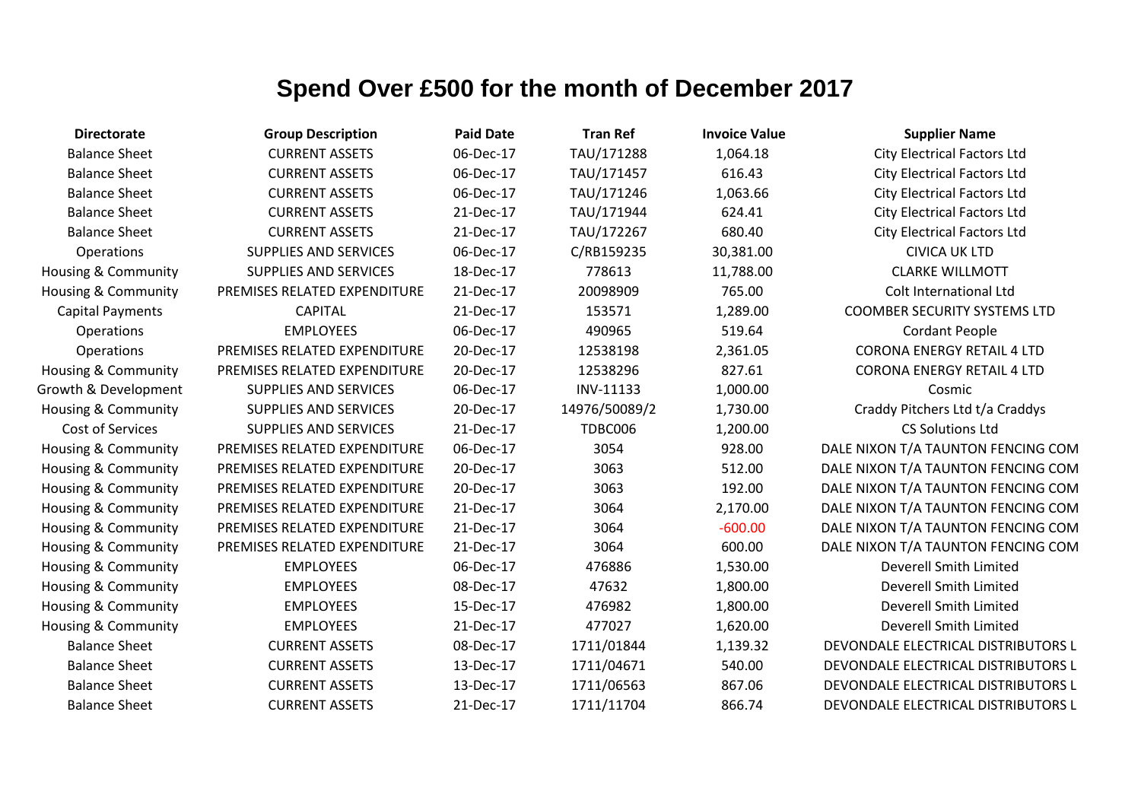| <b>Directorate</b>             | <b>Group Description</b>     | <b>Paid Date</b> | <b>Tran Ref</b> | <b>Invoice Value</b> | <b>Supplier Name</b>                |
|--------------------------------|------------------------------|------------------|-----------------|----------------------|-------------------------------------|
| <b>Balance Sheet</b>           | <b>CURRENT ASSETS</b>        | 06-Dec-17        | TAU/171288      | 1,064.18             | <b>City Electrical Factors Ltd</b>  |
| <b>Balance Sheet</b>           | <b>CURRENT ASSETS</b>        | 06-Dec-17        | TAU/171457      | 616.43               | <b>City Electrical Factors Ltd</b>  |
| <b>Balance Sheet</b>           | <b>CURRENT ASSETS</b>        | 06-Dec-17        | TAU/171246      | 1,063.66             | <b>City Electrical Factors Ltd</b>  |
| <b>Balance Sheet</b>           | <b>CURRENT ASSETS</b>        | 21-Dec-17        | TAU/171944      | 624.41               | <b>City Electrical Factors Ltd</b>  |
| <b>Balance Sheet</b>           | <b>CURRENT ASSETS</b>        | 21-Dec-17        | TAU/172267      | 680.40               | <b>City Electrical Factors Ltd</b>  |
| Operations                     | SUPPLIES AND SERVICES        | 06-Dec-17        | C/RB159235      | 30,381.00            | <b>CIVICA UK LTD</b>                |
| <b>Housing &amp; Community</b> | <b>SUPPLIES AND SERVICES</b> | 18-Dec-17        | 778613          | 11,788.00            | <b>CLARKE WILLMOTT</b>              |
| <b>Housing &amp; Community</b> | PREMISES RELATED EXPENDITURE | 21-Dec-17        | 20098909        | 765.00               | Colt International Ltd              |
| <b>Capital Payments</b>        | <b>CAPITAL</b>               | 21-Dec-17        | 153571          | 1,289.00             | <b>COOMBER SECURITY SYSTEMS LTD</b> |
| Operations                     | <b>EMPLOYEES</b>             | 06-Dec-17        | 490965          | 519.64               | <b>Cordant People</b>               |
| Operations                     | PREMISES RELATED EXPENDITURE | 20-Dec-17        | 12538198        | 2,361.05             | <b>CORONA ENERGY RETAIL 4 LTD</b>   |
| <b>Housing &amp; Community</b> | PREMISES RELATED EXPENDITURE | 20-Dec-17        | 12538296        | 827.61               | <b>CORONA ENERGY RETAIL 4 LTD</b>   |
| Growth & Development           | <b>SUPPLIES AND SERVICES</b> | 06-Dec-17        | INV-11133       | 1,000.00             | Cosmic                              |
| <b>Housing &amp; Community</b> | <b>SUPPLIES AND SERVICES</b> | 20-Dec-17        | 14976/50089/2   | 1,730.00             | Craddy Pitchers Ltd t/a Craddys     |
| Cost of Services               | SUPPLIES AND SERVICES        | 21-Dec-17        | TDBC006         | 1,200.00             | <b>CS Solutions Ltd</b>             |
| Housing & Community            | PREMISES RELATED EXPENDITURE | 06-Dec-17        | 3054            | 928.00               | DALE NIXON T/A TAUNTON FENCING COM  |
| <b>Housing &amp; Community</b> | PREMISES RELATED EXPENDITURE | 20-Dec-17        | 3063            | 512.00               | DALE NIXON T/A TAUNTON FENCING COM  |
| Housing & Community            | PREMISES RELATED EXPENDITURE | 20-Dec-17        | 3063            | 192.00               | DALE NIXON T/A TAUNTON FENCING COM  |
| Housing & Community            | PREMISES RELATED EXPENDITURE | 21-Dec-17        | 3064            | 2,170.00             | DALE NIXON T/A TAUNTON FENCING COM  |
| Housing & Community            | PREMISES RELATED EXPENDITURE | 21-Dec-17        | 3064            | $-600.00$            | DALE NIXON T/A TAUNTON FENCING COM  |
| <b>Housing &amp; Community</b> | PREMISES RELATED EXPENDITURE | 21-Dec-17        | 3064            | 600.00               | DALE NIXON T/A TAUNTON FENCING COM  |
| Housing & Community            | <b>EMPLOYEES</b>             | 06-Dec-17        | 476886          | 1,530.00             | <b>Deverell Smith Limited</b>       |
| Housing & Community            | <b>EMPLOYEES</b>             | 08-Dec-17        | 47632           | 1,800.00             | Deverell Smith Limited              |
| Housing & Community            | <b>EMPLOYEES</b>             | 15-Dec-17        | 476982          | 1,800.00             | Deverell Smith Limited              |
| Housing & Community            | <b>EMPLOYEES</b>             | 21-Dec-17        | 477027          | 1,620.00             | Deverell Smith Limited              |
| <b>Balance Sheet</b>           | <b>CURRENT ASSETS</b>        | 08-Dec-17        | 1711/01844      | 1,139.32             | DEVONDALE ELECTRICAL DISTRIBUTORS L |
| <b>Balance Sheet</b>           | <b>CURRENT ASSETS</b>        | 13-Dec-17        | 1711/04671      | 540.00               | DEVONDALE ELECTRICAL DISTRIBUTORS L |
| <b>Balance Sheet</b>           | <b>CURRENT ASSETS</b>        | 13-Dec-17        | 1711/06563      | 867.06               | DEVONDALE ELECTRICAL DISTRIBUTORS L |
| <b>Balance Sheet</b>           | <b>CURRENT ASSETS</b>        | 21-Dec-17        | 1711/11704      | 866.74               | DEVONDALE ELECTRICAL DISTRIBUTORS L |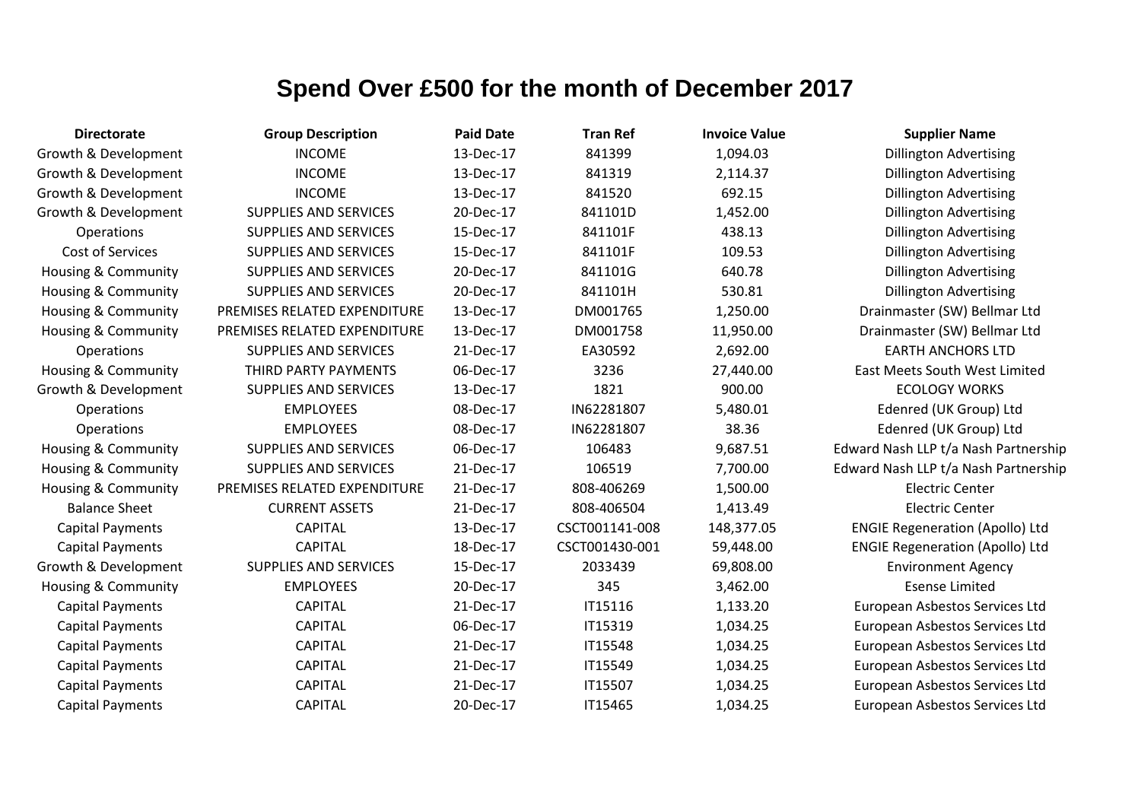| <b>Directorate</b>             | <b>Group Description</b>     | <b>Paid Date</b> | <b>Tran Ref</b> | <b>Invoice Value</b> | <b>Supplier Name</b>                   |
|--------------------------------|------------------------------|------------------|-----------------|----------------------|----------------------------------------|
| Growth & Development           | <b>INCOME</b>                | 13-Dec-17        | 841399          | 1,094.03             | <b>Dillington Advertising</b>          |
| Growth & Development           | <b>INCOME</b>                | 13-Dec-17        | 841319          | 2,114.37             | <b>Dillington Advertising</b>          |
| Growth & Development           | <b>INCOME</b>                | 13-Dec-17        | 841520          | 692.15               | <b>Dillington Advertising</b>          |
| Growth & Development           | <b>SUPPLIES AND SERVICES</b> | 20-Dec-17        | 841101D         | 1,452.00             | <b>Dillington Advertising</b>          |
| Operations                     | <b>SUPPLIES AND SERVICES</b> | 15-Dec-17        | 841101F         | 438.13               | <b>Dillington Advertising</b>          |
| <b>Cost of Services</b>        | <b>SUPPLIES AND SERVICES</b> | 15-Dec-17        | 841101F         | 109.53               | <b>Dillington Advertising</b>          |
| Housing & Community            | <b>SUPPLIES AND SERVICES</b> | 20-Dec-17        | 841101G         | 640.78               | <b>Dillington Advertising</b>          |
| <b>Housing &amp; Community</b> | <b>SUPPLIES AND SERVICES</b> | 20-Dec-17        | 841101H         | 530.81               | <b>Dillington Advertising</b>          |
| <b>Housing &amp; Community</b> | PREMISES RELATED EXPENDITURE | 13-Dec-17        | DM001765        | 1,250.00             | Drainmaster (SW) Bellmar Ltd           |
| <b>Housing &amp; Community</b> | PREMISES RELATED EXPENDITURE | 13-Dec-17        | DM001758        | 11,950.00            | Drainmaster (SW) Bellmar Ltd           |
| Operations                     | <b>SUPPLIES AND SERVICES</b> | 21-Dec-17        | EA30592         | 2,692.00             | <b>EARTH ANCHORS LTD</b>               |
| Housing & Community            | THIRD PARTY PAYMENTS         | 06-Dec-17        | 3236            | 27,440.00            | East Meets South West Limited          |
| Growth & Development           | <b>SUPPLIES AND SERVICES</b> | 13-Dec-17        | 1821            | 900.00               | <b>ECOLOGY WORKS</b>                   |
| Operations                     | <b>EMPLOYEES</b>             | 08-Dec-17        | IN62281807      | 5,480.01             | Edenred (UK Group) Ltd                 |
| Operations                     | <b>EMPLOYEES</b>             | 08-Dec-17        | IN62281807      | 38.36                | Edenred (UK Group) Ltd                 |
| Housing & Community            | <b>SUPPLIES AND SERVICES</b> | 06-Dec-17        | 106483          | 9,687.51             | Edward Nash LLP t/a Nash Partnership   |
| <b>Housing &amp; Community</b> | <b>SUPPLIES AND SERVICES</b> | 21-Dec-17        | 106519          | 7,700.00             | Edward Nash LLP t/a Nash Partnership   |
| <b>Housing &amp; Community</b> | PREMISES RELATED EXPENDITURE | 21-Dec-17        | 808-406269      | 1,500.00             | <b>Electric Center</b>                 |
| <b>Balance Sheet</b>           | <b>CURRENT ASSETS</b>        | 21-Dec-17        | 808-406504      | 1,413.49             | <b>Electric Center</b>                 |
| <b>Capital Payments</b>        | <b>CAPITAL</b>               | 13-Dec-17        | CSCT001141-008  | 148,377.05           | <b>ENGIE Regeneration (Apollo) Ltd</b> |
| <b>Capital Payments</b>        | <b>CAPITAL</b>               | 18-Dec-17        | CSCT001430-001  | 59,448.00            | <b>ENGIE Regeneration (Apollo) Ltd</b> |
| Growth & Development           | <b>SUPPLIES AND SERVICES</b> | 15-Dec-17        | 2033439         | 69,808.00            | <b>Environment Agency</b>              |
| <b>Housing &amp; Community</b> | <b>EMPLOYEES</b>             | 20-Dec-17        | 345             | 3,462.00             | <b>Esense Limited</b>                  |
| <b>Capital Payments</b>        | <b>CAPITAL</b>               | 21-Dec-17        | IT15116         | 1,133.20             | European Asbestos Services Ltd         |
| <b>Capital Payments</b>        | <b>CAPITAL</b>               | 06-Dec-17        | IT15319         | 1,034.25             | European Asbestos Services Ltd         |
| <b>Capital Payments</b>        | <b>CAPITAL</b>               | 21-Dec-17        | IT15548         | 1,034.25             | European Asbestos Services Ltd         |
| <b>Capital Payments</b>        | <b>CAPITAL</b>               | 21-Dec-17        | IT15549         | 1,034.25             | European Asbestos Services Ltd         |
| <b>Capital Payments</b>        | <b>CAPITAL</b>               | 21-Dec-17        | IT15507         | 1,034.25             | European Asbestos Services Ltd         |
| <b>Capital Payments</b>        | <b>CAPITAL</b>               | 20-Dec-17        | IT15465         | 1,034.25             | European Asbestos Services Ltd         |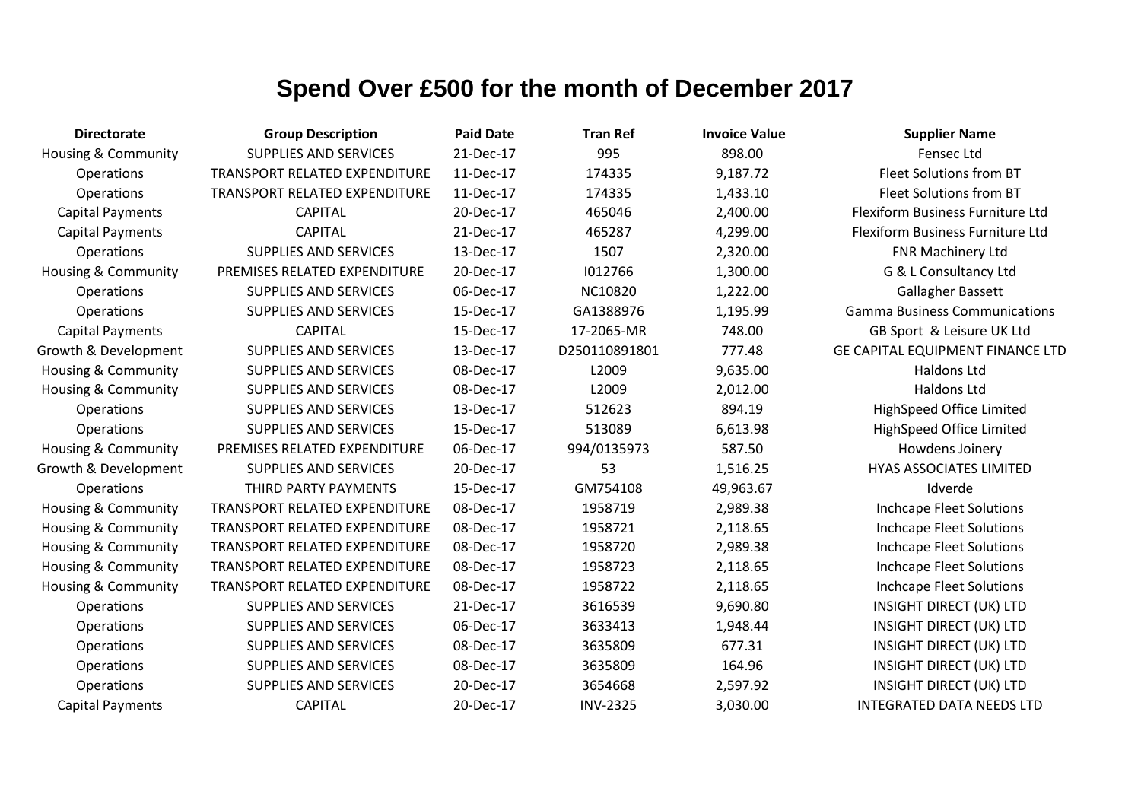| <b>Directorate</b>             | <b>Group Description</b>             | <b>Paid Date</b> | <b>Tran Ref</b> | <b>Invoice Value</b> | <b>Supplier Name</b>                    |
|--------------------------------|--------------------------------------|------------------|-----------------|----------------------|-----------------------------------------|
| <b>Housing &amp; Community</b> | <b>SUPPLIES AND SERVICES</b>         | 21-Dec-17        | 995             | 898.00               | Fensec Ltd                              |
| Operations                     | <b>TRANSPORT RELATED EXPENDITURE</b> | 11-Dec-17        | 174335          | 9,187.72             | Fleet Solutions from BT                 |
| Operations                     | TRANSPORT RELATED EXPENDITURE        | 11-Dec-17        | 174335          | 1,433.10             | Fleet Solutions from BT                 |
| <b>Capital Payments</b>        | <b>CAPITAL</b>                       | 20-Dec-17        | 465046          | 2,400.00             | Flexiform Business Furniture Ltd        |
| <b>Capital Payments</b>        | <b>CAPITAL</b>                       | 21-Dec-17        | 465287          | 4,299.00             | Flexiform Business Furniture Ltd        |
| Operations                     | <b>SUPPLIES AND SERVICES</b>         | 13-Dec-17        | 1507            | 2,320.00             | FNR Machinery Ltd                       |
| <b>Housing &amp; Community</b> | PREMISES RELATED EXPENDITURE         | 20-Dec-17        | 1012766         | 1,300.00             | G & L Consultancy Ltd                   |
| Operations                     | <b>SUPPLIES AND SERVICES</b>         | 06-Dec-17        | NC10820         | 1,222.00             | Gallagher Bassett                       |
| Operations                     | SUPPLIES AND SERVICES                | 15-Dec-17        | GA1388976       | 1,195.99             | <b>Gamma Business Communications</b>    |
| <b>Capital Payments</b>        | <b>CAPITAL</b>                       | 15-Dec-17        | 17-2065-MR      | 748.00               | GB Sport & Leisure UK Ltd               |
| Growth & Development           | <b>SUPPLIES AND SERVICES</b>         | 13-Dec-17        | D250110891801   | 777.48               | <b>GE CAPITAL EQUIPMENT FINANCE LTD</b> |
| <b>Housing &amp; Community</b> | <b>SUPPLIES AND SERVICES</b>         | 08-Dec-17        | L2009           | 9,635.00             | Haldons Ltd                             |
| <b>Housing &amp; Community</b> | <b>SUPPLIES AND SERVICES</b>         | 08-Dec-17        | L2009           | 2,012.00             | <b>Haldons Ltd</b>                      |
| Operations                     | <b>SUPPLIES AND SERVICES</b>         | 13-Dec-17        | 512623          | 894.19               | <b>HighSpeed Office Limited</b>         |
| Operations                     | SUPPLIES AND SERVICES                | 15-Dec-17        | 513089          | 6,613.98             | HighSpeed Office Limited                |
| Housing & Community            | PREMISES RELATED EXPENDITURE         | 06-Dec-17        | 994/0135973     | 587.50               | Howdens Joinery                         |
| Growth & Development           | <b>SUPPLIES AND SERVICES</b>         | 20-Dec-17        | 53              | 1,516.25             | <b>HYAS ASSOCIATES LIMITED</b>          |
| Operations                     | THIRD PARTY PAYMENTS                 | 15-Dec-17        | GM754108        | 49,963.67            | Idverde                                 |
| <b>Housing &amp; Community</b> | <b>TRANSPORT RELATED EXPENDITURE</b> | 08-Dec-17        | 1958719         | 2,989.38             | Inchcape Fleet Solutions                |
| <b>Housing &amp; Community</b> | <b>TRANSPORT RELATED EXPENDITURE</b> | 08-Dec-17        | 1958721         | 2,118.65             | Inchcape Fleet Solutions                |
| Housing & Community            | TRANSPORT RELATED EXPENDITURE        | 08-Dec-17        | 1958720         | 2,989.38             | Inchcape Fleet Solutions                |
| <b>Housing &amp; Community</b> | TRANSPORT RELATED EXPENDITURE        | 08-Dec-17        | 1958723         | 2,118.65             | <b>Inchcape Fleet Solutions</b>         |
| Housing & Community            | TRANSPORT RELATED EXPENDITURE        | 08-Dec-17        | 1958722         | 2,118.65             | Inchcape Fleet Solutions                |
| Operations                     | <b>SUPPLIES AND SERVICES</b>         | 21-Dec-17        | 3616539         | 9,690.80             | <b>INSIGHT DIRECT (UK) LTD</b>          |
| Operations                     | <b>SUPPLIES AND SERVICES</b>         | 06-Dec-17        | 3633413         | 1,948.44             | <b>INSIGHT DIRECT (UK) LTD</b>          |
| Operations                     | SUPPLIES AND SERVICES                | 08-Dec-17        | 3635809         | 677.31               | <b>INSIGHT DIRECT (UK) LTD</b>          |
| Operations                     | <b>SUPPLIES AND SERVICES</b>         | 08-Dec-17        | 3635809         | 164.96               | <b>INSIGHT DIRECT (UK) LTD</b>          |
| Operations                     | <b>SUPPLIES AND SERVICES</b>         | 20-Dec-17        | 3654668         | 2,597.92             | <b>INSIGHT DIRECT (UK) LTD</b>          |
| <b>Capital Payments</b>        | <b>CAPITAL</b>                       | 20-Dec-17        | <b>INV-2325</b> | 3,030.00             | <b>INTEGRATED DATA NEEDS LTD</b>        |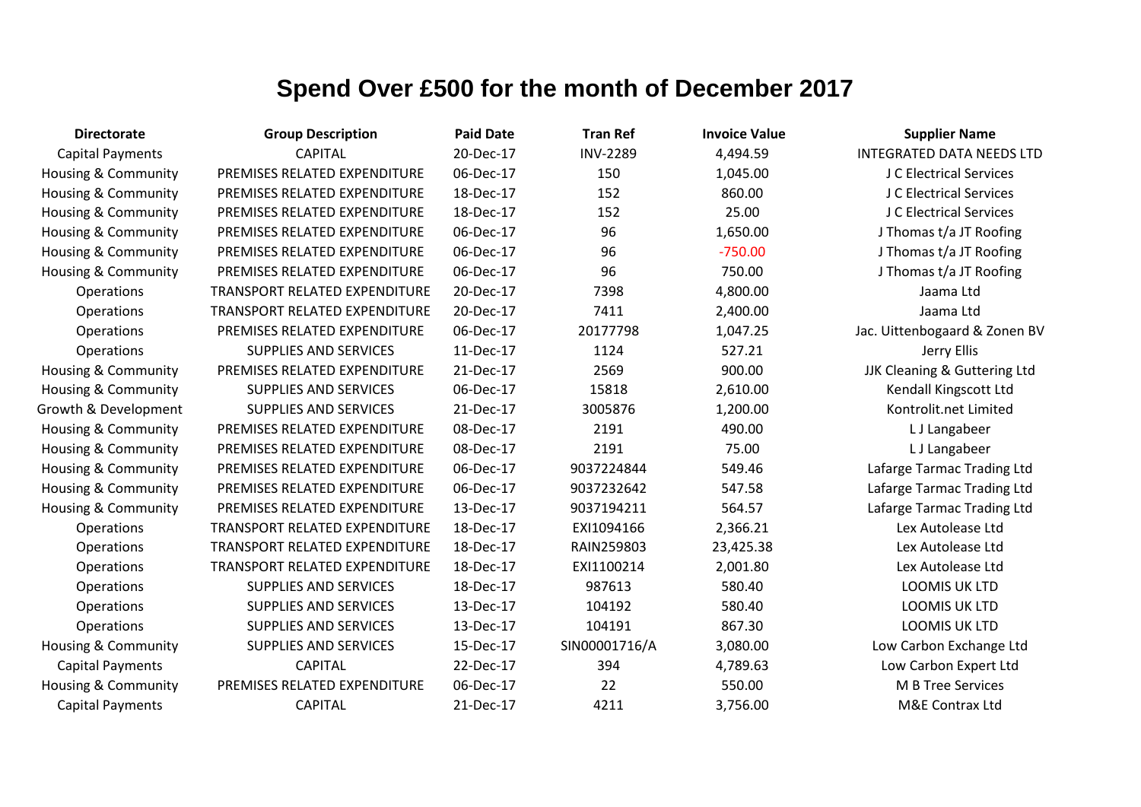| <b>Directorate</b>             | <b>Group Description</b>             | <b>Paid Date</b> | <b>Tran Ref</b> | <b>Invoice Value</b> | <b>Supplier Name</b>             |
|--------------------------------|--------------------------------------|------------------|-----------------|----------------------|----------------------------------|
| <b>Capital Payments</b>        | <b>CAPITAL</b>                       | 20-Dec-17        | <b>INV-2289</b> | 4,494.59             | <b>INTEGRATED DATA NEEDS LTD</b> |
| Housing & Community            | PREMISES RELATED EXPENDITURE         | 06-Dec-17        | 150             | 1,045.00             | J C Electrical Services          |
| Housing & Community            | PREMISES RELATED EXPENDITURE         | 18-Dec-17        | 152             | 860.00               | J C Electrical Services          |
| Housing & Community            | PREMISES RELATED EXPENDITURE         | 18-Dec-17        | 152             | 25.00                | J C Electrical Services          |
| Housing & Community            | PREMISES RELATED EXPENDITURE         | 06-Dec-17        | 96              | 1,650.00             | J Thomas t/a JT Roofing          |
| <b>Housing &amp; Community</b> | PREMISES RELATED EXPENDITURE         | 06-Dec-17        | 96              | $-750.00$            | J Thomas t/a JT Roofing          |
| Housing & Community            | PREMISES RELATED EXPENDITURE         | 06-Dec-17        | 96              | 750.00               | J Thomas t/a JT Roofing          |
| Operations                     | <b>TRANSPORT RELATED EXPENDITURE</b> | 20-Dec-17        | 7398            | 4,800.00             | Jaama Ltd                        |
| Operations                     | TRANSPORT RELATED EXPENDITURE        | 20-Dec-17        | 7411            | 2,400.00             | Jaama Ltd                        |
| Operations                     | PREMISES RELATED EXPENDITURE         | 06-Dec-17        | 20177798        | 1,047.25             | Jac. Uittenbogaard & Zonen BV    |
| Operations                     | <b>SUPPLIES AND SERVICES</b>         | 11-Dec-17        | 1124            | 527.21               | Jerry Ellis                      |
| <b>Housing &amp; Community</b> | PREMISES RELATED EXPENDITURE         | 21-Dec-17        | 2569            | 900.00               | JJK Cleaning & Guttering Ltd     |
| <b>Housing &amp; Community</b> | <b>SUPPLIES AND SERVICES</b>         | 06-Dec-17        | 15818           | 2,610.00             | Kendall Kingscott Ltd            |
| Growth & Development           | <b>SUPPLIES AND SERVICES</b>         | 21-Dec-17        | 3005876         | 1,200.00             | Kontrolit.net Limited            |
| <b>Housing &amp; Community</b> | PREMISES RELATED EXPENDITURE         | 08-Dec-17        | 2191            | 490.00               | L J Langabeer                    |
| Housing & Community            | PREMISES RELATED EXPENDITURE         | 08-Dec-17        | 2191            | 75.00                | L J Langabeer                    |
| Housing & Community            | PREMISES RELATED EXPENDITURE         | 06-Dec-17        | 9037224844      | 549.46               | Lafarge Tarmac Trading Ltd       |
| <b>Housing &amp; Community</b> | PREMISES RELATED EXPENDITURE         | 06-Dec-17        | 9037232642      | 547.58               | Lafarge Tarmac Trading Ltd       |
| Housing & Community            | PREMISES RELATED EXPENDITURE         | 13-Dec-17        | 9037194211      | 564.57               | Lafarge Tarmac Trading Ltd       |
| Operations                     | TRANSPORT RELATED EXPENDITURE        | 18-Dec-17        | EXI1094166      | 2,366.21             | Lex Autolease Ltd                |
| Operations                     | TRANSPORT RELATED EXPENDITURE        | 18-Dec-17        | RAIN259803      | 23,425.38            | Lex Autolease Ltd                |
| Operations                     | TRANSPORT RELATED EXPENDITURE        | 18-Dec-17        | EXI1100214      | 2,001.80             | Lex Autolease Ltd                |
| Operations                     | <b>SUPPLIES AND SERVICES</b>         | 18-Dec-17        | 987613          | 580.40               | LOOMIS UK LTD                    |
| Operations                     | <b>SUPPLIES AND SERVICES</b>         | 13-Dec-17        | 104192          | 580.40               | LOOMIS UK LTD                    |
| Operations                     | SUPPLIES AND SERVICES                | 13-Dec-17        | 104191          | 867.30               | LOOMIS UK LTD                    |
| <b>Housing &amp; Community</b> | <b>SUPPLIES AND SERVICES</b>         | 15-Dec-17        | SIN00001716/A   | 3,080.00             | Low Carbon Exchange Ltd          |
| <b>Capital Payments</b>        | <b>CAPITAL</b>                       | 22-Dec-17        | 394             | 4,789.63             | Low Carbon Expert Ltd            |
| Housing & Community            | PREMISES RELATED EXPENDITURE         | 06-Dec-17        | 22              | 550.00               | <b>M B Tree Services</b>         |
| <b>Capital Payments</b>        | <b>CAPITAL</b>                       | 21-Dec-17        | 4211            | 3,756.00             | M&E Contrax Ltd                  |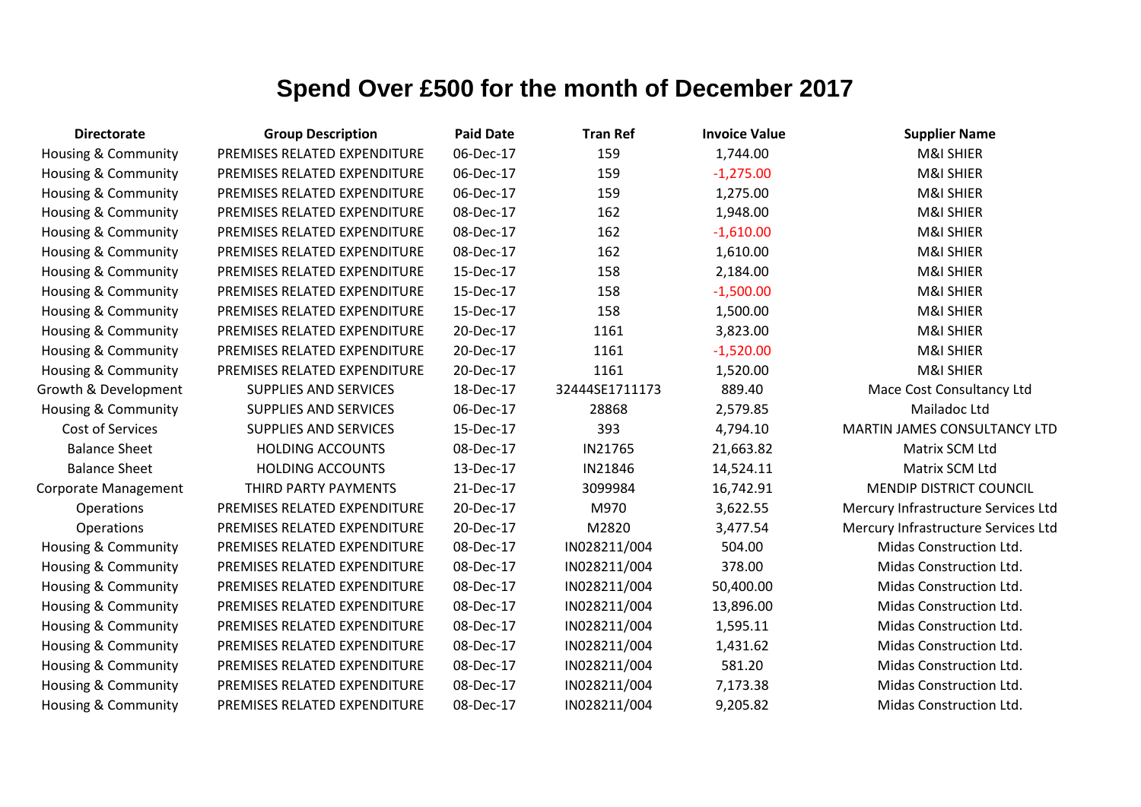| <b>Directorate</b>             | <b>Group Description</b>     | <b>Paid Date</b> | <b>Tran Ref</b> | <b>Invoice Value</b> | <b>Supplier Name</b>                |
|--------------------------------|------------------------------|------------------|-----------------|----------------------|-------------------------------------|
| Housing & Community            | PREMISES RELATED EXPENDITURE | 06-Dec-17        | 159             | 1,744.00             | <b>M&amp;I SHIER</b>                |
| Housing & Community            | PREMISES RELATED EXPENDITURE | 06-Dec-17        | 159             | $-1,275.00$          | <b>M&amp;I SHIER</b>                |
| Housing & Community            | PREMISES RELATED EXPENDITURE | 06-Dec-17        | 159             | 1,275.00             | M&I SHIER                           |
| Housing & Community            | PREMISES RELATED EXPENDITURE | 08-Dec-17        | 162             | 1,948.00             | M&I SHIER                           |
| Housing & Community            | PREMISES RELATED EXPENDITURE | 08-Dec-17        | 162             | $-1,610.00$          | M&I SHIER                           |
| Housing & Community            | PREMISES RELATED EXPENDITURE | 08-Dec-17        | 162             | 1,610.00             | M&I SHIER                           |
| Housing & Community            | PREMISES RELATED EXPENDITURE | 15-Dec-17        | 158             | 2,184.00             | <b>M&amp;I SHIER</b>                |
| Housing & Community            | PREMISES RELATED EXPENDITURE | 15-Dec-17        | 158             | $-1,500.00$          | <b>M&amp;I SHIER</b>                |
| Housing & Community            | PREMISES RELATED EXPENDITURE | 15-Dec-17        | 158             | 1,500.00             | <b>M&amp;I SHIER</b>                |
| <b>Housing &amp; Community</b> | PREMISES RELATED EXPENDITURE | 20-Dec-17        | 1161            | 3,823.00             | M&I SHIER                           |
| Housing & Community            | PREMISES RELATED EXPENDITURE | 20-Dec-17        | 1161            | $-1,520.00$          | M&I SHIER                           |
| Housing & Community            | PREMISES RELATED EXPENDITURE | 20-Dec-17        | 1161            | 1,520.00             | <b>M&amp;I SHIER</b>                |
| Growth & Development           | <b>SUPPLIES AND SERVICES</b> | 18-Dec-17        | 32444SE1711173  | 889.40               | Mace Cost Consultancy Ltd           |
| <b>Housing &amp; Community</b> | SUPPLIES AND SERVICES        | 06-Dec-17        | 28868           | 2,579.85             | Mailadoc Ltd                        |
| <b>Cost of Services</b>        | <b>SUPPLIES AND SERVICES</b> | 15-Dec-17        | 393             | 4,794.10             | MARTIN JAMES CONSULTANCY LTD        |
| <b>Balance Sheet</b>           | <b>HOLDING ACCOUNTS</b>      | 08-Dec-17        | IN21765         | 21,663.82            | Matrix SCM Ltd                      |
| <b>Balance Sheet</b>           | <b>HOLDING ACCOUNTS</b>      | 13-Dec-17        | IN21846         | 14,524.11            | Matrix SCM Ltd                      |
| <b>Corporate Management</b>    | THIRD PARTY PAYMENTS         | 21-Dec-17        | 3099984         | 16,742.91            | MENDIP DISTRICT COUNCIL             |
| Operations                     | PREMISES RELATED EXPENDITURE | 20-Dec-17        | M970            | 3,622.55             | Mercury Infrastructure Services Ltd |
| <b>Operations</b>              | PREMISES RELATED EXPENDITURE | 20-Dec-17        | M2820           | 3,477.54             | Mercury Infrastructure Services Ltd |
| Housing & Community            | PREMISES RELATED EXPENDITURE | 08-Dec-17        | IN028211/004    | 504.00               | Midas Construction Ltd.             |
| Housing & Community            | PREMISES RELATED EXPENDITURE | 08-Dec-17        | IN028211/004    | 378.00               | Midas Construction Ltd.             |
| Housing & Community            | PREMISES RELATED EXPENDITURE | 08-Dec-17        | IN028211/004    | 50,400.00            | Midas Construction Ltd.             |
| Housing & Community            | PREMISES RELATED EXPENDITURE | 08-Dec-17        | IN028211/004    | 13,896.00            | Midas Construction Ltd.             |
| Housing & Community            | PREMISES RELATED EXPENDITURE | 08-Dec-17        | IN028211/004    | 1,595.11             | Midas Construction Ltd.             |
| Housing & Community            | PREMISES RELATED EXPENDITURE | 08-Dec-17        | IN028211/004    | 1,431.62             | Midas Construction Ltd.             |
| Housing & Community            | PREMISES RELATED EXPENDITURE | 08-Dec-17        | IN028211/004    | 581.20               | Midas Construction Ltd.             |
| Housing & Community            | PREMISES RELATED EXPENDITURE | 08-Dec-17        | IN028211/004    | 7,173.38             | Midas Construction Ltd.             |
| Housing & Community            | PREMISES RELATED EXPENDITURE | 08-Dec-17        | IN028211/004    | 9,205.82             | Midas Construction Ltd.             |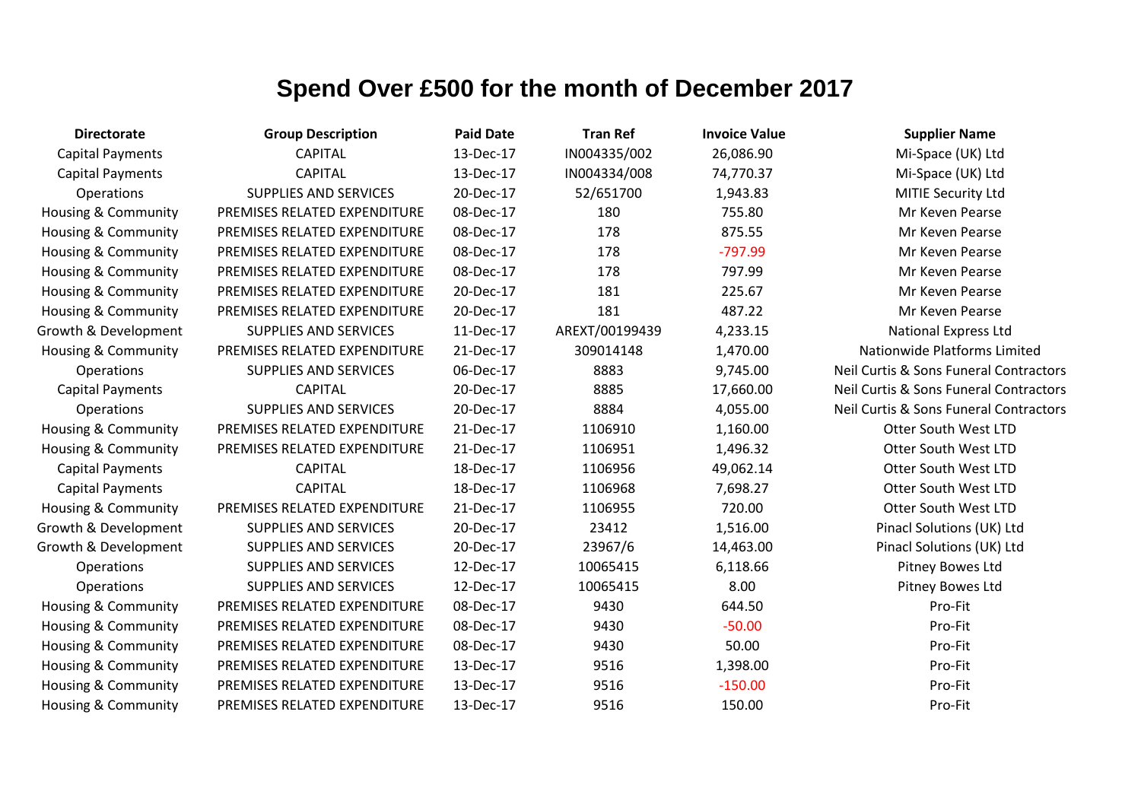| <b>Directorate</b>             | <b>Group Description</b>     | <b>Paid Date</b> | <b>Tran Ref</b> | <b>Invoice Value</b> | <b>Supplier Name</b>                   |
|--------------------------------|------------------------------|------------------|-----------------|----------------------|----------------------------------------|
| <b>Capital Payments</b>        | <b>CAPITAL</b>               | 13-Dec-17        | IN004335/002    | 26,086.90            | Mi-Space (UK) Ltd                      |
| <b>Capital Payments</b>        | <b>CAPITAL</b>               | 13-Dec-17        | IN004334/008    | 74,770.37            | Mi-Space (UK) Ltd                      |
| Operations                     | <b>SUPPLIES AND SERVICES</b> | 20-Dec-17        | 52/651700       | 1,943.83             | MITIE Security Ltd                     |
| Housing & Community            | PREMISES RELATED EXPENDITURE | 08-Dec-17        | 180             | 755.80               | Mr Keven Pearse                        |
| Housing & Community            | PREMISES RELATED EXPENDITURE | 08-Dec-17        | 178             | 875.55               | Mr Keven Pearse                        |
| Housing & Community            | PREMISES RELATED EXPENDITURE | 08-Dec-17        | 178             | $-797.99$            | Mr Keven Pearse                        |
| Housing & Community            | PREMISES RELATED EXPENDITURE | 08-Dec-17        | 178             | 797.99               | Mr Keven Pearse                        |
| Housing & Community            | PREMISES RELATED EXPENDITURE | 20-Dec-17        | 181             | 225.67               | Mr Keven Pearse                        |
| Housing & Community            | PREMISES RELATED EXPENDITURE | 20-Dec-17        | 181             | 487.22               | Mr Keven Pearse                        |
| Growth & Development           | <b>SUPPLIES AND SERVICES</b> | 11-Dec-17        | AREXT/00199439  | 4,233.15             | <b>National Express Ltd</b>            |
| Housing & Community            | PREMISES RELATED EXPENDITURE | 21-Dec-17        | 309014148       | 1,470.00             | Nationwide Platforms Limited           |
| Operations                     | <b>SUPPLIES AND SERVICES</b> | 06-Dec-17        | 8883            | 9,745.00             | Neil Curtis & Sons Funeral Contractors |
| <b>Capital Payments</b>        | <b>CAPITAL</b>               | 20-Dec-17        | 8885            | 17,660.00            | Neil Curtis & Sons Funeral Contractors |
| Operations                     | <b>SUPPLIES AND SERVICES</b> | 20-Dec-17        | 8884            | 4,055.00             | Neil Curtis & Sons Funeral Contractors |
| Housing & Community            | PREMISES RELATED EXPENDITURE | 21-Dec-17        | 1106910         | 1,160.00             | <b>Otter South West LTD</b>            |
| Housing & Community            | PREMISES RELATED EXPENDITURE | 21-Dec-17        | 1106951         | 1,496.32             | <b>Otter South West LTD</b>            |
| <b>Capital Payments</b>        | <b>CAPITAL</b>               | 18-Dec-17        | 1106956         | 49,062.14            | <b>Otter South West LTD</b>            |
| <b>Capital Payments</b>        | <b>CAPITAL</b>               | 18-Dec-17        | 1106968         | 7,698.27             | <b>Otter South West LTD</b>            |
| Housing & Community            | PREMISES RELATED EXPENDITURE | 21-Dec-17        | 1106955         | 720.00               | Otter South West LTD                   |
| Growth & Development           | <b>SUPPLIES AND SERVICES</b> | 20-Dec-17        | 23412           | 1,516.00             | Pinacl Solutions (UK) Ltd              |
| Growth & Development           | <b>SUPPLIES AND SERVICES</b> | 20-Dec-17        | 23967/6         | 14,463.00            | Pinacl Solutions (UK) Ltd              |
| Operations                     | <b>SUPPLIES AND SERVICES</b> | 12-Dec-17        | 10065415        | 6,118.66             | Pitney Bowes Ltd                       |
| Operations                     | <b>SUPPLIES AND SERVICES</b> | 12-Dec-17        | 10065415        | 8.00                 | Pitney Bowes Ltd                       |
| Housing & Community            | PREMISES RELATED EXPENDITURE | 08-Dec-17        | 9430            | 644.50               | Pro-Fit                                |
| <b>Housing &amp; Community</b> | PREMISES RELATED EXPENDITURE | 08-Dec-17        | 9430            | $-50.00$             | Pro-Fit                                |
| Housing & Community            | PREMISES RELATED EXPENDITURE | 08-Dec-17        | 9430            | 50.00                | Pro-Fit                                |
| Housing & Community            | PREMISES RELATED EXPENDITURE | 13-Dec-17        | 9516            | 1,398.00             | Pro-Fit                                |
| Housing & Community            | PREMISES RELATED EXPENDITURE | 13-Dec-17        | 9516            | $-150.00$            | Pro-Fit                                |
| <b>Housing &amp; Community</b> | PREMISES RELATED EXPENDITURE | 13-Dec-17        | 9516            | 150.00               | Pro-Fit                                |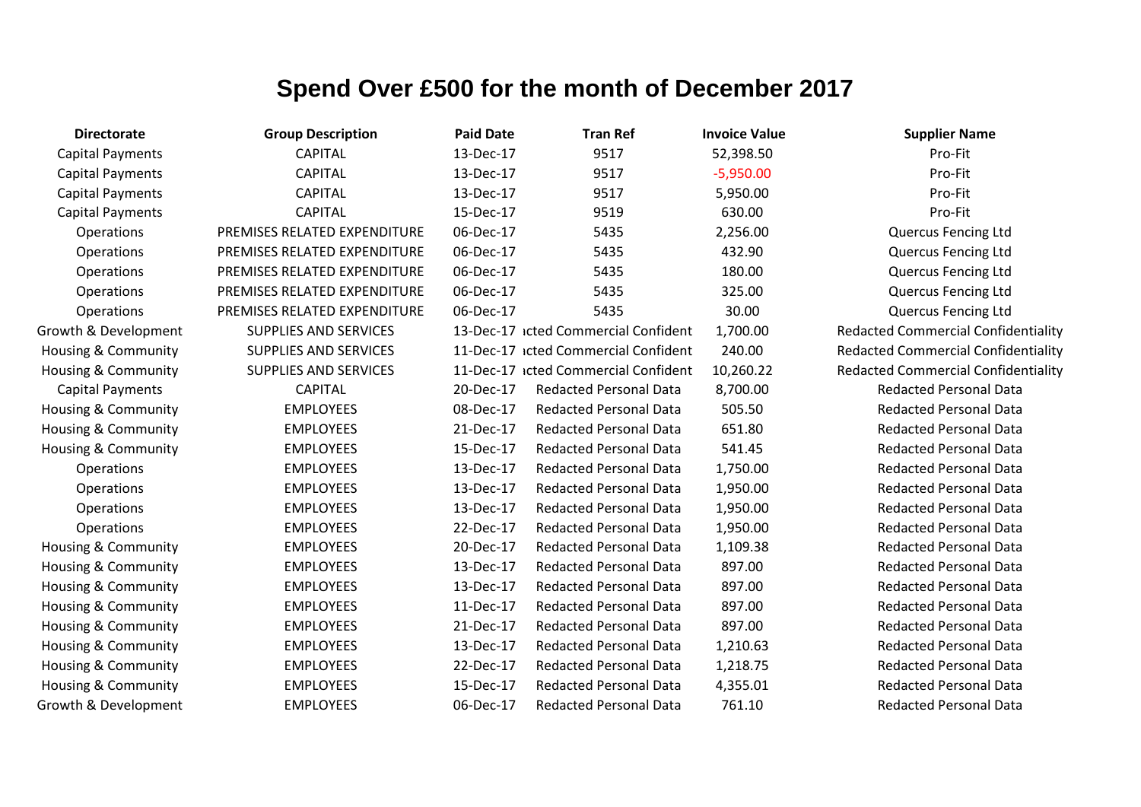| <b>Directorate</b>             | <b>Group Description</b>     | <b>Paid Date</b> | <b>Tran Ref</b>                      | <b>Invoice Value</b> | <b>Supplier Name</b>                       |
|--------------------------------|------------------------------|------------------|--------------------------------------|----------------------|--------------------------------------------|
| <b>Capital Payments</b>        | <b>CAPITAL</b>               | 13-Dec-17        | 9517                                 | 52,398.50            | Pro-Fit                                    |
| <b>Capital Payments</b>        | <b>CAPITAL</b>               | 13-Dec-17        | 9517                                 | $-5,950.00$          | Pro-Fit                                    |
| <b>Capital Payments</b>        | <b>CAPITAL</b>               | 13-Dec-17        | 9517                                 | 5,950.00             | Pro-Fit                                    |
| <b>Capital Payments</b>        | <b>CAPITAL</b>               | 15-Dec-17        | 9519                                 | 630.00               | Pro-Fit                                    |
| Operations                     | PREMISES RELATED EXPENDITURE | 06-Dec-17        | 5435                                 | 2,256.00             | <b>Quercus Fencing Ltd</b>                 |
| Operations                     | PREMISES RELATED EXPENDITURE | 06-Dec-17        | 5435                                 | 432.90               | <b>Quercus Fencing Ltd</b>                 |
| Operations                     | PREMISES RELATED EXPENDITURE | 06-Dec-17        | 5435                                 | 180.00               | <b>Quercus Fencing Ltd</b>                 |
| Operations                     | PREMISES RELATED EXPENDITURE | 06-Dec-17        | 5435                                 | 325.00               | <b>Quercus Fencing Ltd</b>                 |
| Operations                     | PREMISES RELATED EXPENDITURE | 06-Dec-17        | 5435                                 | 30.00                | <b>Quercus Fencing Ltd</b>                 |
| Growth & Development           | <b>SUPPLIES AND SERVICES</b> |                  | 13-Dec-17 icted Commercial Confident | 1,700.00             | <b>Redacted Commercial Confidentiality</b> |
| Housing & Community            | <b>SUPPLIES AND SERVICES</b> |                  | 11-Dec-17 icted Commercial Confident | 240.00               | <b>Redacted Commercial Confidentiality</b> |
| Housing & Community            | <b>SUPPLIES AND SERVICES</b> |                  | 11-Dec-17 icted Commercial Confident | 10,260.22            | <b>Redacted Commercial Confidentiality</b> |
| <b>Capital Payments</b>        | <b>CAPITAL</b>               | 20-Dec-17        | <b>Redacted Personal Data</b>        | 8,700.00             | <b>Redacted Personal Data</b>              |
| Housing & Community            | <b>EMPLOYEES</b>             | 08-Dec-17        | <b>Redacted Personal Data</b>        | 505.50               | <b>Redacted Personal Data</b>              |
| Housing & Community            | <b>EMPLOYEES</b>             | 21-Dec-17        | <b>Redacted Personal Data</b>        | 651.80               | <b>Redacted Personal Data</b>              |
| Housing & Community            | <b>EMPLOYEES</b>             | 15-Dec-17        | <b>Redacted Personal Data</b>        | 541.45               | <b>Redacted Personal Data</b>              |
| Operations                     | <b>EMPLOYEES</b>             | 13-Dec-17        | <b>Redacted Personal Data</b>        | 1,750.00             | <b>Redacted Personal Data</b>              |
| Operations                     | <b>EMPLOYEES</b>             | 13-Dec-17        | <b>Redacted Personal Data</b>        | 1,950.00             | <b>Redacted Personal Data</b>              |
| Operations                     | <b>EMPLOYEES</b>             | 13-Dec-17        | <b>Redacted Personal Data</b>        | 1,950.00             | <b>Redacted Personal Data</b>              |
| Operations                     | <b>EMPLOYEES</b>             | 22-Dec-17        | <b>Redacted Personal Data</b>        | 1,950.00             | <b>Redacted Personal Data</b>              |
| <b>Housing &amp; Community</b> | <b>EMPLOYEES</b>             | 20-Dec-17        | <b>Redacted Personal Data</b>        | 1,109.38             | <b>Redacted Personal Data</b>              |
| Housing & Community            | <b>EMPLOYEES</b>             | 13-Dec-17        | <b>Redacted Personal Data</b>        | 897.00               | <b>Redacted Personal Data</b>              |
| Housing & Community            | <b>EMPLOYEES</b>             | 13-Dec-17        | <b>Redacted Personal Data</b>        | 897.00               | <b>Redacted Personal Data</b>              |
| Housing & Community            | <b>EMPLOYEES</b>             | 11-Dec-17        | <b>Redacted Personal Data</b>        | 897.00               | <b>Redacted Personal Data</b>              |
| <b>Housing &amp; Community</b> | <b>EMPLOYEES</b>             | 21-Dec-17        | <b>Redacted Personal Data</b>        | 897.00               | <b>Redacted Personal Data</b>              |
| Housing & Community            | <b>EMPLOYEES</b>             | 13-Dec-17        | <b>Redacted Personal Data</b>        | 1,210.63             | <b>Redacted Personal Data</b>              |
| Housing & Community            | <b>EMPLOYEES</b>             | 22-Dec-17        | <b>Redacted Personal Data</b>        | 1,218.75             | <b>Redacted Personal Data</b>              |
| Housing & Community            | <b>EMPLOYEES</b>             | 15-Dec-17        | <b>Redacted Personal Data</b>        | 4,355.01             | <b>Redacted Personal Data</b>              |
| Growth & Development           | <b>EMPLOYEES</b>             | 06-Dec-17        | <b>Redacted Personal Data</b>        | 761.10               | <b>Redacted Personal Data</b>              |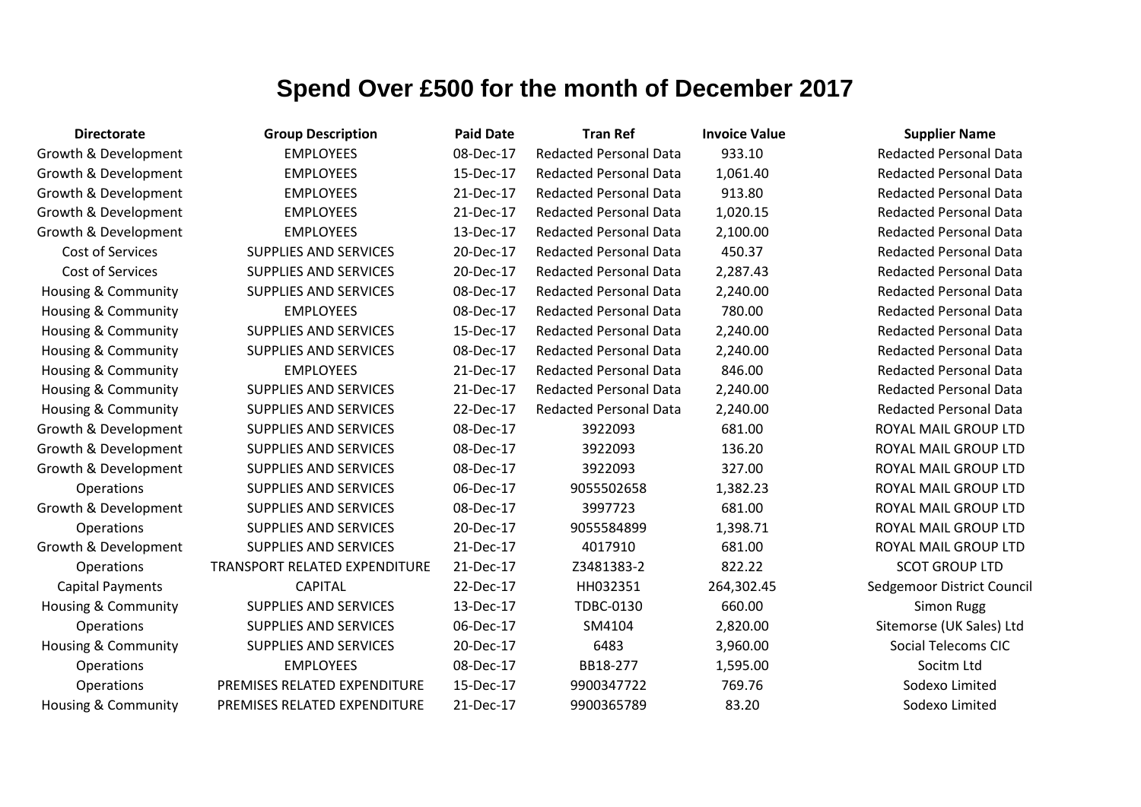| <b>Directorate</b>             | <b>Group Description</b>      | <b>Paid Date</b> | <b>Tran Ref</b>               | <b>Invoice Value</b> | <b>Supplier Name</b>          |
|--------------------------------|-------------------------------|------------------|-------------------------------|----------------------|-------------------------------|
| Growth & Development           | <b>EMPLOYEES</b>              | 08-Dec-17        | <b>Redacted Personal Data</b> | 933.10               | <b>Redacted Personal Data</b> |
| Growth & Development           | <b>EMPLOYEES</b>              | 15-Dec-17        | <b>Redacted Personal Data</b> | 1,061.40             | <b>Redacted Personal Data</b> |
| Growth & Development           | <b>EMPLOYEES</b>              | 21-Dec-17        | <b>Redacted Personal Data</b> | 913.80               | <b>Redacted Personal Data</b> |
| Growth & Development           | <b>EMPLOYEES</b>              | 21-Dec-17        | <b>Redacted Personal Data</b> | 1,020.15             | <b>Redacted Personal Data</b> |
| Growth & Development           | <b>EMPLOYEES</b>              | 13-Dec-17        | <b>Redacted Personal Data</b> | 2,100.00             | <b>Redacted Personal Data</b> |
| Cost of Services               | <b>SUPPLIES AND SERVICES</b>  | 20-Dec-17        | <b>Redacted Personal Data</b> | 450.37               | <b>Redacted Personal Data</b> |
| Cost of Services               | <b>SUPPLIES AND SERVICES</b>  | 20-Dec-17        | <b>Redacted Personal Data</b> | 2,287.43             | <b>Redacted Personal Data</b> |
| Housing & Community            | <b>SUPPLIES AND SERVICES</b>  | 08-Dec-17        | <b>Redacted Personal Data</b> | 2,240.00             | <b>Redacted Personal Data</b> |
| Housing & Community            | <b>EMPLOYEES</b>              | 08-Dec-17        | <b>Redacted Personal Data</b> | 780.00               | <b>Redacted Personal Data</b> |
| <b>Housing &amp; Community</b> | <b>SUPPLIES AND SERVICES</b>  | 15-Dec-17        | <b>Redacted Personal Data</b> | 2,240.00             | <b>Redacted Personal Data</b> |
| <b>Housing &amp; Community</b> | <b>SUPPLIES AND SERVICES</b>  | 08-Dec-17        | <b>Redacted Personal Data</b> | 2,240.00             | <b>Redacted Personal Data</b> |
| Housing & Community            | <b>EMPLOYEES</b>              | 21-Dec-17        | <b>Redacted Personal Data</b> | 846.00               | <b>Redacted Personal Data</b> |
| <b>Housing &amp; Community</b> | <b>SUPPLIES AND SERVICES</b>  | 21-Dec-17        | <b>Redacted Personal Data</b> | 2,240.00             | <b>Redacted Personal Data</b> |
| <b>Housing &amp; Community</b> | <b>SUPPLIES AND SERVICES</b>  | 22-Dec-17        | <b>Redacted Personal Data</b> | 2,240.00             | <b>Redacted Personal Data</b> |
| Growth & Development           | <b>SUPPLIES AND SERVICES</b>  | 08-Dec-17        | 3922093                       | 681.00               | ROYAL MAIL GROUP LTD          |
| Growth & Development           | <b>SUPPLIES AND SERVICES</b>  | 08-Dec-17        | 3922093                       | 136.20               | ROYAL MAIL GROUP LTD          |
| Growth & Development           | <b>SUPPLIES AND SERVICES</b>  | 08-Dec-17        | 3922093                       | 327.00               | ROYAL MAIL GROUP LTD          |
| Operations                     | <b>SUPPLIES AND SERVICES</b>  | 06-Dec-17        | 9055502658                    | 1,382.23             | ROYAL MAIL GROUP LTD          |
| Growth & Development           | SUPPLIES AND SERVICES         | 08-Dec-17        | 3997723                       | 681.00               | ROYAL MAIL GROUP LTD          |
| Operations                     | <b>SUPPLIES AND SERVICES</b>  | 20-Dec-17        | 9055584899                    | 1,398.71             | ROYAL MAIL GROUP LTD          |
| Growth & Development           | <b>SUPPLIES AND SERVICES</b>  | 21-Dec-17        | 4017910                       | 681.00               | ROYAL MAIL GROUP LTD          |
| Operations                     | TRANSPORT RELATED EXPENDITURE | 21-Dec-17        | Z3481383-2                    | 822.22               | <b>SCOT GROUP LTD</b>         |
| <b>Capital Payments</b>        | <b>CAPITAL</b>                | 22-Dec-17        | HH032351                      | 264,302.45           | Sedgemoor District Council    |
| Housing & Community            | <b>SUPPLIES AND SERVICES</b>  | 13-Dec-17        | TDBC-0130                     | 660.00               | <b>Simon Rugg</b>             |
| Operations                     | SUPPLIES AND SERVICES         | 06-Dec-17        | SM4104                        | 2,820.00             | Sitemorse (UK Sales) Ltd      |
| Housing & Community            | <b>SUPPLIES AND SERVICES</b>  | 20-Dec-17        | 6483                          | 3,960.00             | <b>Social Telecoms CIC</b>    |
| Operations                     | <b>EMPLOYEES</b>              | 08-Dec-17        | BB18-277                      | 1,595.00             | Socitm Ltd                    |
| Operations                     | PREMISES RELATED EXPENDITURE  | 15-Dec-17        | 9900347722                    | 769.76               | Sodexo Limited                |
| Housing & Community            | PREMISES RELATED EXPENDITURE  | 21-Dec-17        | 9900365789                    | 83.20                | Sodexo Limited                |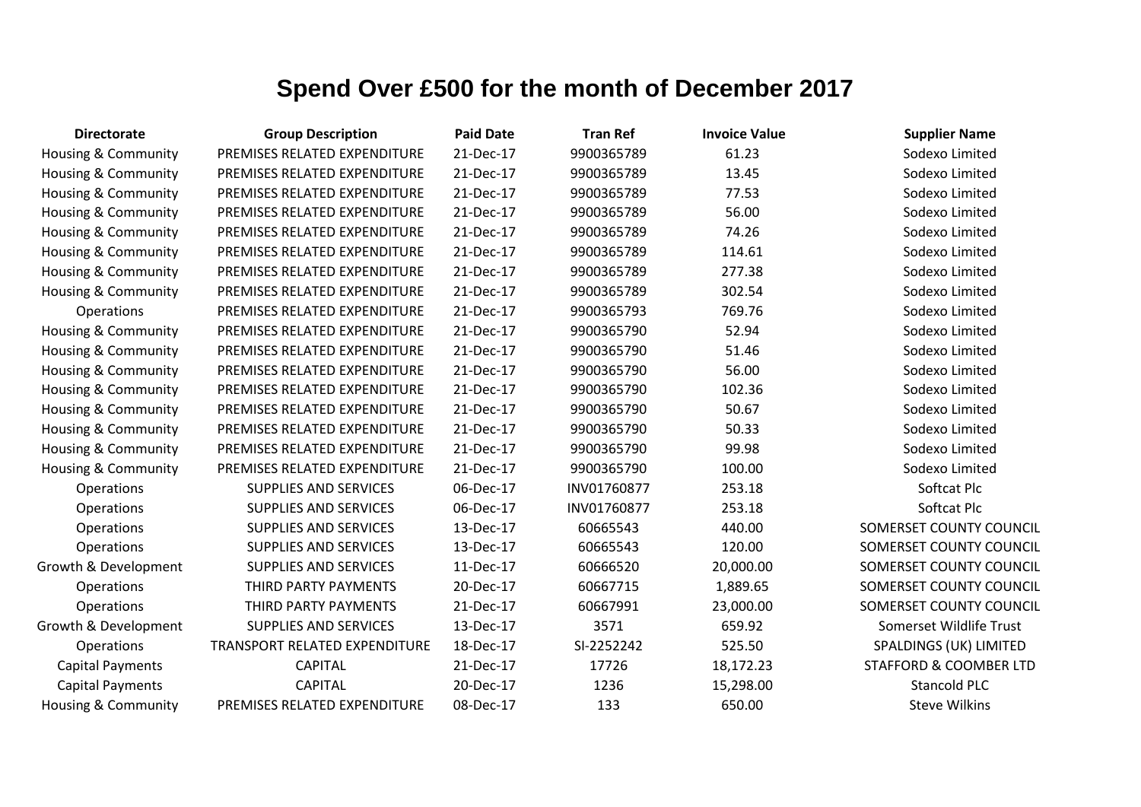| <b>Directorate</b>             | <b>Group Description</b>      | <b>Paid Date</b> | <b>Tran Ref</b> | <b>Invoice Value</b> | <b>Supplier Name</b>              |
|--------------------------------|-------------------------------|------------------|-----------------|----------------------|-----------------------------------|
| <b>Housing &amp; Community</b> | PREMISES RELATED EXPENDITURE  | 21-Dec-17        | 9900365789      | 61.23                | Sodexo Limited                    |
| Housing & Community            | PREMISES RELATED EXPENDITURE  | 21-Dec-17        | 9900365789      | 13.45                | Sodexo Limited                    |
| Housing & Community            | PREMISES RELATED EXPENDITURE  | 21-Dec-17        | 9900365789      | 77.53                | Sodexo Limited                    |
| <b>Housing &amp; Community</b> | PREMISES RELATED EXPENDITURE  | 21-Dec-17        | 9900365789      | 56.00                | Sodexo Limited                    |
| <b>Housing &amp; Community</b> | PREMISES RELATED EXPENDITURE  | 21-Dec-17        | 9900365789      | 74.26                | Sodexo Limited                    |
| <b>Housing &amp; Community</b> | PREMISES RELATED EXPENDITURE  | 21-Dec-17        | 9900365789      | 114.61               | Sodexo Limited                    |
| Housing & Community            | PREMISES RELATED EXPENDITURE  | 21-Dec-17        | 9900365789      | 277.38               | Sodexo Limited                    |
| <b>Housing &amp; Community</b> | PREMISES RELATED EXPENDITURE  | 21-Dec-17        | 9900365789      | 302.54               | Sodexo Limited                    |
| <b>Operations</b>              | PREMISES RELATED EXPENDITURE  | 21-Dec-17        | 9900365793      | 769.76               | Sodexo Limited                    |
| Housing & Community            | PREMISES RELATED EXPENDITURE  | 21-Dec-17        | 9900365790      | 52.94                | Sodexo Limited                    |
| <b>Housing &amp; Community</b> | PREMISES RELATED EXPENDITURE  | 21-Dec-17        | 9900365790      | 51.46                | Sodexo Limited                    |
| <b>Housing &amp; Community</b> | PREMISES RELATED EXPENDITURE  | 21-Dec-17        | 9900365790      | 56.00                | Sodexo Limited                    |
| Housing & Community            | PREMISES RELATED EXPENDITURE  | 21-Dec-17        | 9900365790      | 102.36               | Sodexo Limited                    |
| Housing & Community            | PREMISES RELATED EXPENDITURE  | 21-Dec-17        | 9900365790      | 50.67                | Sodexo Limited                    |
| <b>Housing &amp; Community</b> | PREMISES RELATED EXPENDITURE  | 21-Dec-17        | 9900365790      | 50.33                | Sodexo Limited                    |
| <b>Housing &amp; Community</b> | PREMISES RELATED EXPENDITURE  | 21-Dec-17        | 9900365790      | 99.98                | Sodexo Limited                    |
| <b>Housing &amp; Community</b> | PREMISES RELATED EXPENDITURE  | 21-Dec-17        | 9900365790      | 100.00               | Sodexo Limited                    |
| Operations                     | <b>SUPPLIES AND SERVICES</b>  | 06-Dec-17        | INV01760877     | 253.18               | Softcat Plc                       |
| Operations                     | <b>SUPPLIES AND SERVICES</b>  | 06-Dec-17        | INV01760877     | 253.18               | Softcat Plc                       |
| Operations                     | <b>SUPPLIES AND SERVICES</b>  | 13-Dec-17        | 60665543        | 440.00               | SOMERSET COUNTY COUNCIL           |
| Operations                     | <b>SUPPLIES AND SERVICES</b>  | 13-Dec-17        | 60665543        | 120.00               | SOMERSET COUNTY COUNCIL           |
| Growth & Development           | <b>SUPPLIES AND SERVICES</b>  | 11-Dec-17        | 60666520        | 20,000.00            | SOMERSET COUNTY COUNCIL           |
| Operations                     | THIRD PARTY PAYMENTS          | 20-Dec-17        | 60667715        | 1,889.65             | SOMERSET COUNTY COUNCIL           |
| Operations                     | THIRD PARTY PAYMENTS          | 21-Dec-17        | 60667991        | 23,000.00            | SOMERSET COUNTY COUNCIL           |
| Growth & Development           | <b>SUPPLIES AND SERVICES</b>  | 13-Dec-17        | 3571            | 659.92               | Somerset Wildlife Trust           |
| <b>Operations</b>              | TRANSPORT RELATED EXPENDITURE | 18-Dec-17        | SI-2252242      | 525.50               | SPALDINGS (UK) LIMITED            |
| <b>Capital Payments</b>        | <b>CAPITAL</b>                | 21-Dec-17        | 17726           | 18,172.23            | <b>STAFFORD &amp; COOMBER LTD</b> |
| <b>Capital Payments</b>        | <b>CAPITAL</b>                | 20-Dec-17        | 1236            | 15,298.00            | <b>Stancold PLC</b>               |
| Housing & Community            | PREMISES RELATED EXPENDITURE  | 08-Dec-17        | 133             | 650.00               | <b>Steve Wilkins</b>              |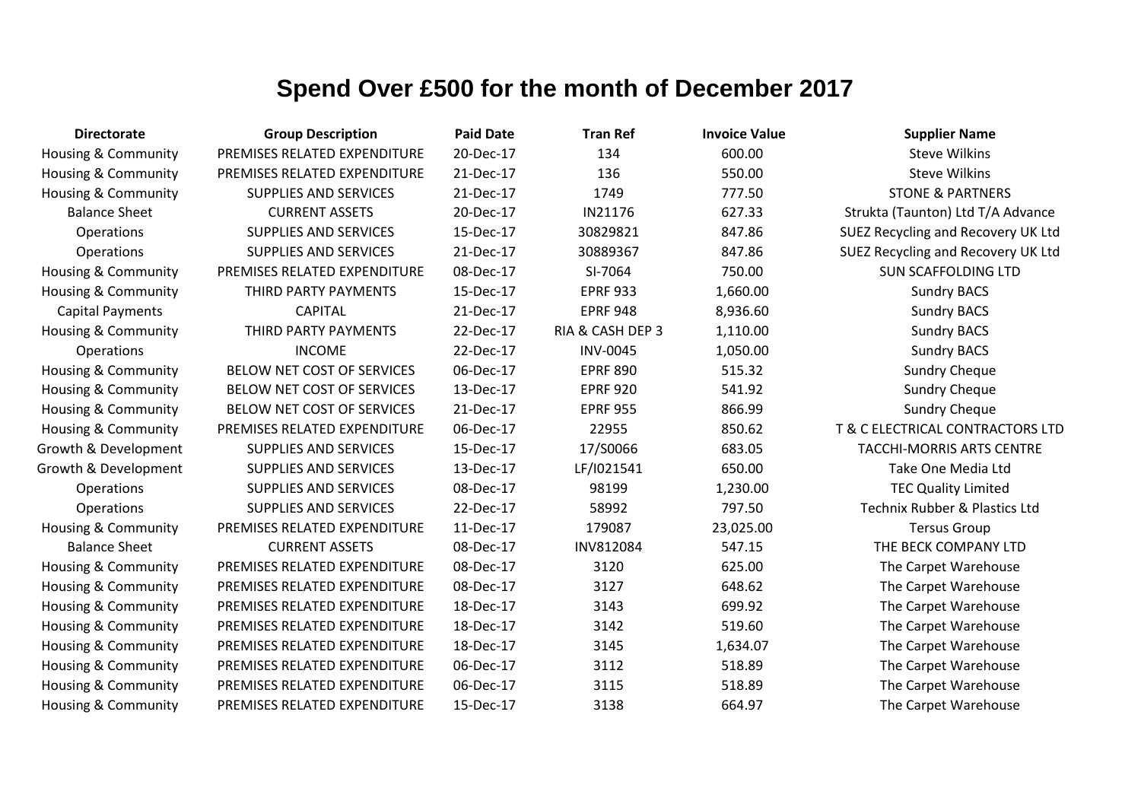| <b>Directorate</b>             | <b>Group Description</b>     | <b>Paid Date</b> | <b>Tran Ref</b>  | <b>Invoice Value</b> | <b>Supplier Name</b>                     |
|--------------------------------|------------------------------|------------------|------------------|----------------------|------------------------------------------|
| <b>Housing &amp; Community</b> | PREMISES RELATED EXPENDITURE | 20-Dec-17        | 134              | 600.00               | <b>Steve Wilkins</b>                     |
| <b>Housing &amp; Community</b> | PREMISES RELATED EXPENDITURE | 21-Dec-17        | 136              | 550.00               | <b>Steve Wilkins</b>                     |
| <b>Housing &amp; Community</b> | <b>SUPPLIES AND SERVICES</b> | 21-Dec-17        | 1749             | 777.50               | <b>STONE &amp; PARTNERS</b>              |
| <b>Balance Sheet</b>           | <b>CURRENT ASSETS</b>        | 20-Dec-17        | IN21176          | 627.33               | Strukta (Taunton) Ltd T/A Advance        |
| Operations                     | <b>SUPPLIES AND SERVICES</b> | 15-Dec-17        | 30829821         | 847.86               | SUEZ Recycling and Recovery UK Ltd       |
| Operations                     | <b>SUPPLIES AND SERVICES</b> | 21-Dec-17        | 30889367         | 847.86               | SUEZ Recycling and Recovery UK Ltd       |
| Housing & Community            | PREMISES RELATED EXPENDITURE | 08-Dec-17        | SI-7064          | 750.00               | <b>SUN SCAFFOLDING LTD</b>               |
| Housing & Community            | THIRD PARTY PAYMENTS         | 15-Dec-17        | <b>EPRF 933</b>  | 1,660.00             | <b>Sundry BACS</b>                       |
| <b>Capital Payments</b>        | <b>CAPITAL</b>               | 21-Dec-17        | <b>EPRF 948</b>  | 8,936.60             | <b>Sundry BACS</b>                       |
| <b>Housing &amp; Community</b> | THIRD PARTY PAYMENTS         | 22-Dec-17        | RIA & CASH DEP 3 | 1,110.00             | <b>Sundry BACS</b>                       |
| <b>Operations</b>              | <b>INCOME</b>                | 22-Dec-17        | <b>INV-0045</b>  | 1,050.00             | <b>Sundry BACS</b>                       |
| <b>Housing &amp; Community</b> | BELOW NET COST OF SERVICES   | 06-Dec-17        | <b>EPRF 890</b>  | 515.32               | <b>Sundry Cheque</b>                     |
| Housing & Community            | BELOW NET COST OF SERVICES   | 13-Dec-17        | <b>EPRF 920</b>  | 541.92               | <b>Sundry Cheque</b>                     |
| Housing & Community            | BELOW NET COST OF SERVICES   | 21-Dec-17        | <b>EPRF 955</b>  | 866.99               | <b>Sundry Cheque</b>                     |
| Housing & Community            | PREMISES RELATED EXPENDITURE | 06-Dec-17        | 22955            | 850.62               | T & C ELECTRICAL CONTRACTORS LTD         |
| Growth & Development           | <b>SUPPLIES AND SERVICES</b> | 15-Dec-17        | 17/S0066         | 683.05               | <b>TACCHI-MORRIS ARTS CENTRE</b>         |
| Growth & Development           | <b>SUPPLIES AND SERVICES</b> | 13-Dec-17        | LF/I021541       | 650.00               | Take One Media Ltd                       |
| Operations                     | <b>SUPPLIES AND SERVICES</b> | 08-Dec-17        | 98199            | 1,230.00             | <b>TEC Quality Limited</b>               |
| Operations                     | <b>SUPPLIES AND SERVICES</b> | 22-Dec-17        | 58992            | 797.50               | <b>Technix Rubber &amp; Plastics Ltd</b> |
| <b>Housing &amp; Community</b> | PREMISES RELATED EXPENDITURE | 11-Dec-17        | 179087           | 23,025.00            | <b>Tersus Group</b>                      |
| <b>Balance Sheet</b>           | <b>CURRENT ASSETS</b>        | 08-Dec-17        | INV812084        | 547.15               | THE BECK COMPANY LTD                     |
| <b>Housing &amp; Community</b> | PREMISES RELATED EXPENDITURE | 08-Dec-17        | 3120             | 625.00               | The Carpet Warehouse                     |
| Housing & Community            | PREMISES RELATED EXPENDITURE | 08-Dec-17        | 3127             | 648.62               | The Carpet Warehouse                     |
| Housing & Community            | PREMISES RELATED EXPENDITURE | 18-Dec-17        | 3143             | 699.92               | The Carpet Warehouse                     |
| Housing & Community            | PREMISES RELATED EXPENDITURE | 18-Dec-17        | 3142             | 519.60               | The Carpet Warehouse                     |
| <b>Housing &amp; Community</b> | PREMISES RELATED EXPENDITURE | 18-Dec-17        | 3145             | 1,634.07             | The Carpet Warehouse                     |
| Housing & Community            | PREMISES RELATED EXPENDITURE | 06-Dec-17        | 3112             | 518.89               | The Carpet Warehouse                     |
| <b>Housing &amp; Community</b> | PREMISES RELATED EXPENDITURE | 06-Dec-17        | 3115             | 518.89               | The Carpet Warehouse                     |
| Housing & Community            | PREMISES RELATED EXPENDITURE | 15-Dec-17        | 3138             | 664.97               | The Carpet Warehouse                     |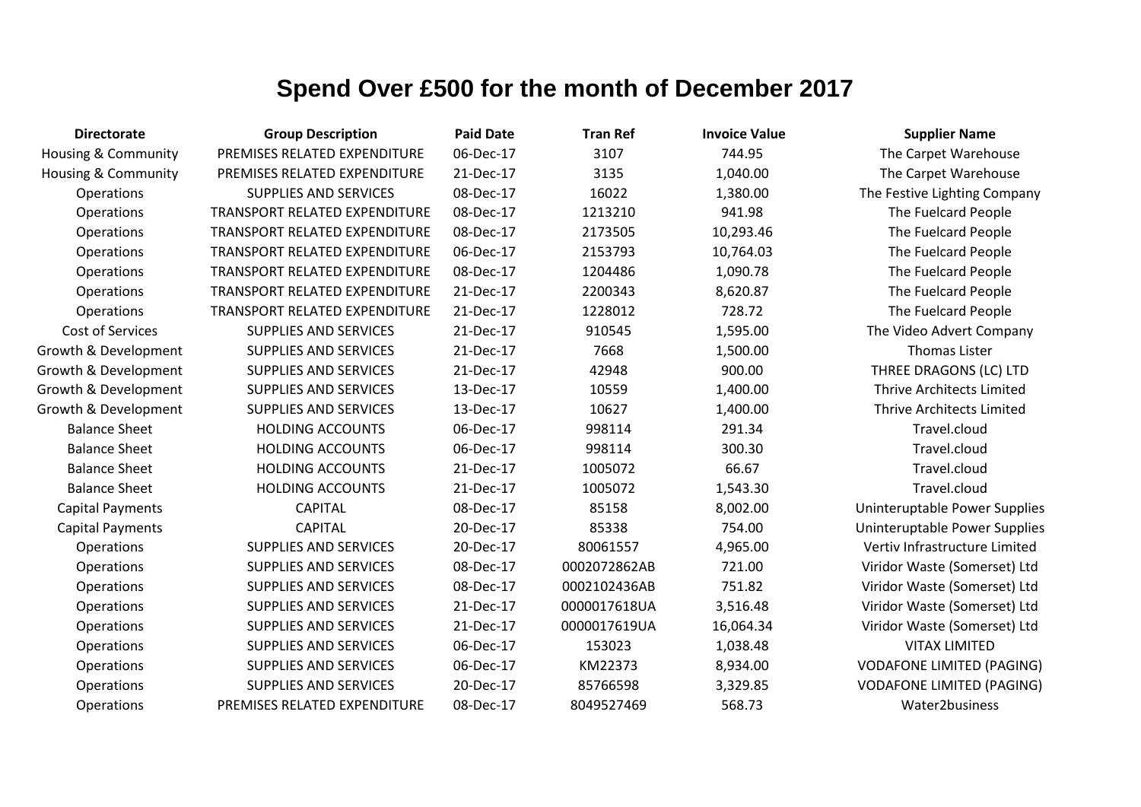| <b>Directorate</b>             | <b>Group Description</b>             | <b>Paid Date</b> | <b>Tran Ref</b> | <b>Invoice Value</b> | <b>Supplier Name</b>             |
|--------------------------------|--------------------------------------|------------------|-----------------|----------------------|----------------------------------|
| <b>Housing &amp; Community</b> | PREMISES RELATED EXPENDITURE         | 06-Dec-17        | 3107            | 744.95               | The Carpet Warehouse             |
| Housing & Community            | PREMISES RELATED EXPENDITURE         | 21-Dec-17        | 3135            | 1,040.00             | The Carpet Warehouse             |
| Operations                     | <b>SUPPLIES AND SERVICES</b>         | 08-Dec-17        | 16022           | 1,380.00             | The Festive Lighting Company     |
| Operations                     | TRANSPORT RELATED EXPENDITURE        | 08-Dec-17        | 1213210         | 941.98               | The Fuelcard People              |
| Operations                     | TRANSPORT RELATED EXPENDITURE        | 08-Dec-17        | 2173505         | 10,293.46            | The Fuelcard People              |
| Operations                     | <b>TRANSPORT RELATED EXPENDITURE</b> | 06-Dec-17        | 2153793         | 10,764.03            | The Fuelcard People              |
| Operations                     | <b>TRANSPORT RELATED EXPENDITURE</b> | 08-Dec-17        | 1204486         | 1,090.78             | The Fuelcard People              |
| Operations                     | <b>TRANSPORT RELATED EXPENDITURE</b> | 21-Dec-17        | 2200343         | 8,620.87             | The Fuelcard People              |
| Operations                     | TRANSPORT RELATED EXPENDITURE        | 21-Dec-17        | 1228012         | 728.72               | The Fuelcard People              |
| <b>Cost of Services</b>        | <b>SUPPLIES AND SERVICES</b>         | 21-Dec-17        | 910545          | 1,595.00             | The Video Advert Company         |
| Growth & Development           | SUPPLIES AND SERVICES                | 21-Dec-17        | 7668            | 1,500.00             | <b>Thomas Lister</b>             |
| Growth & Development           | SUPPLIES AND SERVICES                | 21-Dec-17        | 42948           | 900.00               | THREE DRAGONS (LC) LTD           |
| Growth & Development           | SUPPLIES AND SERVICES                | 13-Dec-17        | 10559           | 1,400.00             | <b>Thrive Architects Limited</b> |
| Growth & Development           | <b>SUPPLIES AND SERVICES</b>         | 13-Dec-17        | 10627           | 1,400.00             | <b>Thrive Architects Limited</b> |
| <b>Balance Sheet</b>           | <b>HOLDING ACCOUNTS</b>              | 06-Dec-17        | 998114          | 291.34               | Travel.cloud                     |
| <b>Balance Sheet</b>           | <b>HOLDING ACCOUNTS</b>              | 06-Dec-17        | 998114          | 300.30               | Travel.cloud                     |
| <b>Balance Sheet</b>           | <b>HOLDING ACCOUNTS</b>              | 21-Dec-17        | 1005072         | 66.67                | Travel.cloud                     |
| <b>Balance Sheet</b>           | <b>HOLDING ACCOUNTS</b>              | 21-Dec-17        | 1005072         | 1,543.30             | Travel.cloud                     |
| <b>Capital Payments</b>        | <b>CAPITAL</b>                       | 08-Dec-17        | 85158           | 8,002.00             | Uninteruptable Power Supplies    |
| <b>Capital Payments</b>        | <b>CAPITAL</b>                       | 20-Dec-17        | 85338           | 754.00               | Uninteruptable Power Supplies    |
| Operations                     | SUPPLIES AND SERVICES                | 20-Dec-17        | 80061557        | 4,965.00             | Vertiv Infrastructure Limited    |
| Operations                     | SUPPLIES AND SERVICES                | 08-Dec-17        | 0002072862AB    | 721.00               | Viridor Waste (Somerset) Ltd     |
| Operations                     | SUPPLIES AND SERVICES                | 08-Dec-17        | 0002102436AB    | 751.82               | Viridor Waste (Somerset) Ltd     |
| Operations                     | SUPPLIES AND SERVICES                | 21-Dec-17        | 0000017618UA    | 3,516.48             | Viridor Waste (Somerset) Ltd     |
| Operations                     | SUPPLIES AND SERVICES                | 21-Dec-17        | 0000017619UA    | 16,064.34            | Viridor Waste (Somerset) Ltd     |
| Operations                     | SUPPLIES AND SERVICES                | 06-Dec-17        | 153023          | 1,038.48             | <b>VITAX LIMITED</b>             |
| Operations                     | <b>SUPPLIES AND SERVICES</b>         | 06-Dec-17        | KM22373         | 8,934.00             | <b>VODAFONE LIMITED (PAGING)</b> |
| Operations                     | <b>SUPPLIES AND SERVICES</b>         | 20-Dec-17        | 85766598        | 3,329.85             | <b>VODAFONE LIMITED (PAGING)</b> |
| Operations                     | PREMISES RELATED EXPENDITURE         | 08-Dec-17        | 8049527469      | 568.73               | Water2business                   |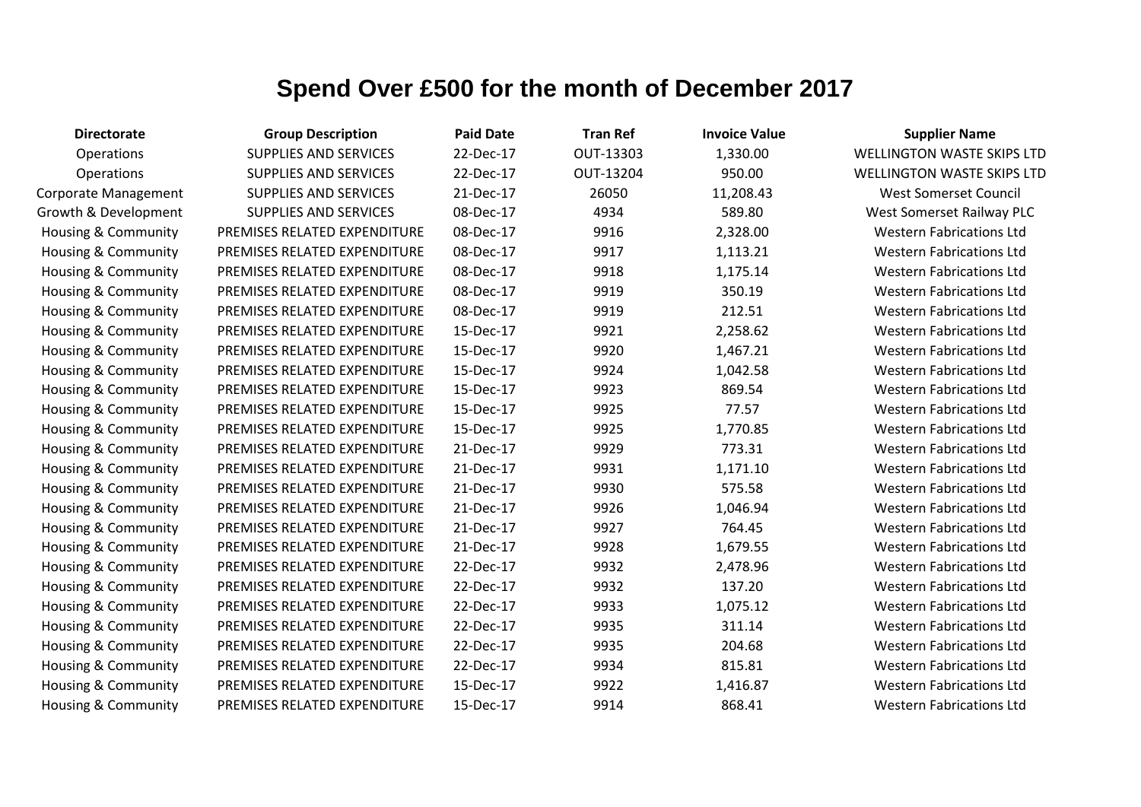| <b>Directorate</b>             | <b>Group Description</b>     | <b>Paid Date</b> | <b>Tran Ref</b> | <b>Invoice Value</b> | <b>Supplier Name</b>              |
|--------------------------------|------------------------------|------------------|-----------------|----------------------|-----------------------------------|
| Operations                     | SUPPLIES AND SERVICES        | 22-Dec-17        | OUT-13303       | 1,330.00             | <b>WELLINGTON WASTE SKIPS LTD</b> |
| Operations                     | SUPPLIES AND SERVICES        | 22-Dec-17        | OUT-13204       | 950.00               | <b>WELLINGTON WASTE SKIPS LTD</b> |
| Corporate Management           | SUPPLIES AND SERVICES        | 21-Dec-17        | 26050           | 11,208.43            | <b>West Somerset Council</b>      |
| Growth & Development           | SUPPLIES AND SERVICES        | 08-Dec-17        | 4934            | 589.80               | West Somerset Railway PLC         |
| Housing & Community            | PREMISES RELATED EXPENDITURE | 08-Dec-17        | 9916            | 2,328.00             | <b>Western Fabrications Ltd</b>   |
| Housing & Community            | PREMISES RELATED EXPENDITURE | 08-Dec-17        | 9917            | 1,113.21             | <b>Western Fabrications Ltd</b>   |
| Housing & Community            | PREMISES RELATED EXPENDITURE | 08-Dec-17        | 9918            | 1,175.14             | <b>Western Fabrications Ltd</b>   |
| <b>Housing &amp; Community</b> | PREMISES RELATED EXPENDITURE | 08-Dec-17        | 9919            | 350.19               | <b>Western Fabrications Ltd</b>   |
| Housing & Community            | PREMISES RELATED EXPENDITURE | 08-Dec-17        | 9919            | 212.51               | <b>Western Fabrications Ltd</b>   |
| Housing & Community            | PREMISES RELATED EXPENDITURE | 15-Dec-17        | 9921            | 2,258.62             | <b>Western Fabrications Ltd</b>   |
| Housing & Community            | PREMISES RELATED EXPENDITURE | 15-Dec-17        | 9920            | 1,467.21             | <b>Western Fabrications Ltd</b>   |
| <b>Housing &amp; Community</b> | PREMISES RELATED EXPENDITURE | 15-Dec-17        | 9924            | 1,042.58             | <b>Western Fabrications Ltd</b>   |
| Housing & Community            | PREMISES RELATED EXPENDITURE | 15-Dec-17        | 9923            | 869.54               | <b>Western Fabrications Ltd</b>   |
| Housing & Community            | PREMISES RELATED EXPENDITURE | 15-Dec-17        | 9925            | 77.57                | <b>Western Fabrications Ltd</b>   |
| Housing & Community            | PREMISES RELATED EXPENDITURE | 15-Dec-17        | 9925            | 1,770.85             | <b>Western Fabrications Ltd</b>   |
| <b>Housing &amp; Community</b> | PREMISES RELATED EXPENDITURE | 21-Dec-17        | 9929            | 773.31               | <b>Western Fabrications Ltd</b>   |
| Housing & Community            | PREMISES RELATED EXPENDITURE | 21-Dec-17        | 9931            | 1,171.10             | <b>Western Fabrications Ltd</b>   |
| Housing & Community            | PREMISES RELATED EXPENDITURE | 21-Dec-17        | 9930            | 575.58               | <b>Western Fabrications Ltd</b>   |
| Housing & Community            | PREMISES RELATED EXPENDITURE | 21-Dec-17        | 9926            | 1,046.94             | <b>Western Fabrications Ltd</b>   |
| <b>Housing &amp; Community</b> | PREMISES RELATED EXPENDITURE | 21-Dec-17        | 9927            | 764.45               | <b>Western Fabrications Ltd</b>   |
| Housing & Community            | PREMISES RELATED EXPENDITURE | 21-Dec-17        | 9928            | 1,679.55             | <b>Western Fabrications Ltd</b>   |
| Housing & Community            | PREMISES RELATED EXPENDITURE | 22-Dec-17        | 9932            | 2,478.96             | <b>Western Fabrications Ltd</b>   |
| Housing & Community            | PREMISES RELATED EXPENDITURE | 22-Dec-17        | 9932            | 137.20               | <b>Western Fabrications Ltd</b>   |
| Housing & Community            | PREMISES RELATED EXPENDITURE | 22-Dec-17        | 9933            | 1,075.12             | <b>Western Fabrications Ltd</b>   |
| Housing & Community            | PREMISES RELATED EXPENDITURE | 22-Dec-17        | 9935            | 311.14               | <b>Western Fabrications Ltd</b>   |
| <b>Housing &amp; Community</b> | PREMISES RELATED EXPENDITURE | 22-Dec-17        | 9935            | 204.68               | <b>Western Fabrications Ltd</b>   |
| Housing & Community            | PREMISES RELATED EXPENDITURE | 22-Dec-17        | 9934            | 815.81               | <b>Western Fabrications Ltd</b>   |
| <b>Housing &amp; Community</b> | PREMISES RELATED EXPENDITURE | 15-Dec-17        | 9922            | 1,416.87             | <b>Western Fabrications Ltd</b>   |
| Housing & Community            | PREMISES RELATED EXPENDITURE | 15-Dec-17        | 9914            | 868.41               | <b>Western Fabrications Ltd</b>   |